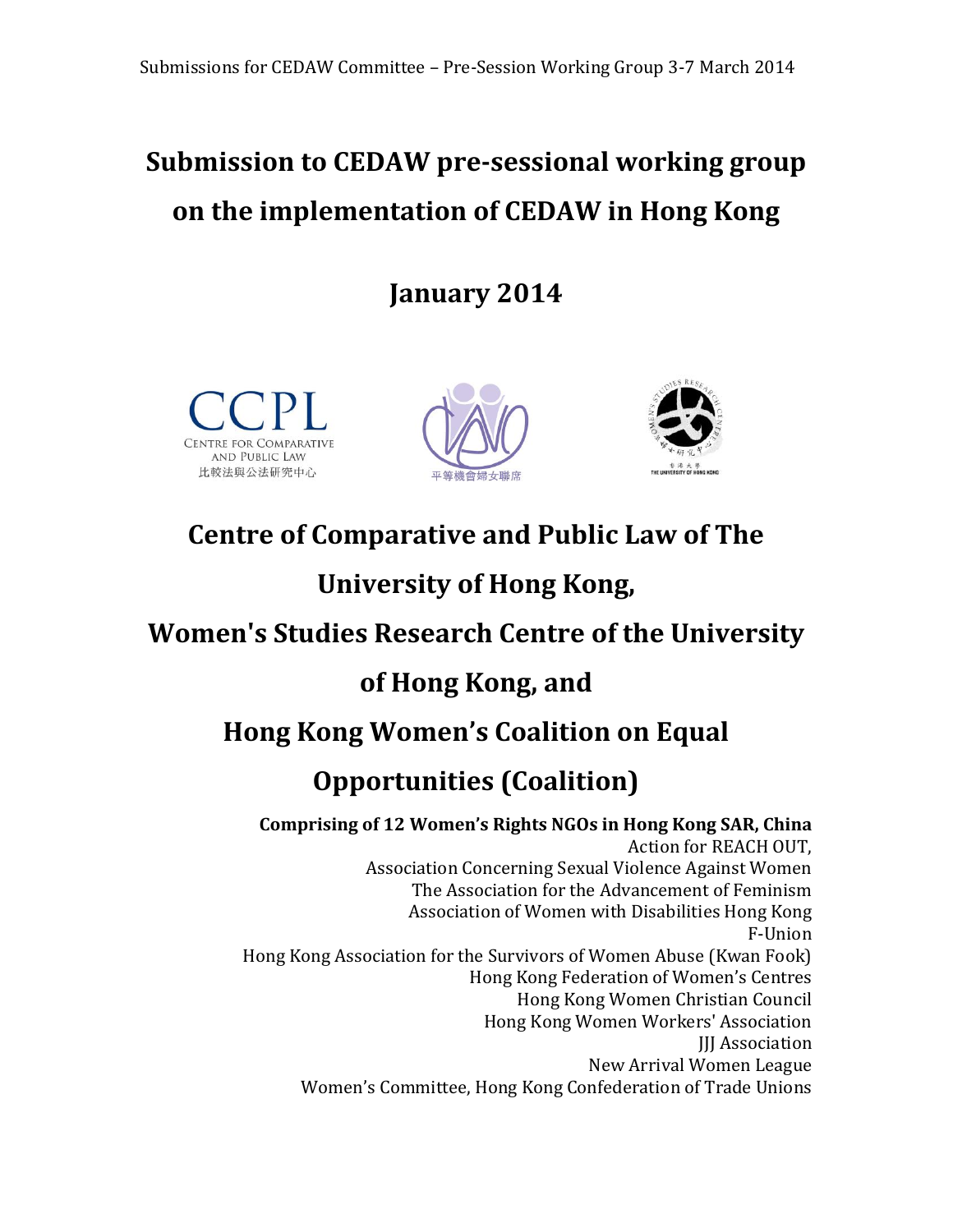# **Submission to CEDAW pre-sessional working group on the implementation of CEDAW in Hong Kong**

**January 2014**







# **Centre of Comparative and Public Law of The**

# **University of Hong Kong,**

# **Women's Studies Research Centre of the University**

# **of Hong Kong, and**

# **Hong Kong Women's Coalition on Equal**

# **Opportunities (Coalition)**

**Comprising of 12 Women's Rights NGOs in Hong Kong SAR, China** Action for REACH OUT, Association Concerning Sexual Violence Against Women The Association for the Advancement of Feminism Association of Women with Disabilities Hong Kong F-Union Hong Kong Association for the Survivors of Women Abuse (Kwan Fook) Hong Kong Federation of Women's Centres Hong Kong Women Christian Council Hong Kong Women Workers' Association JJJ Association New Arrival Women League Women's Committee, Hong Kong Confederation of Trade Unions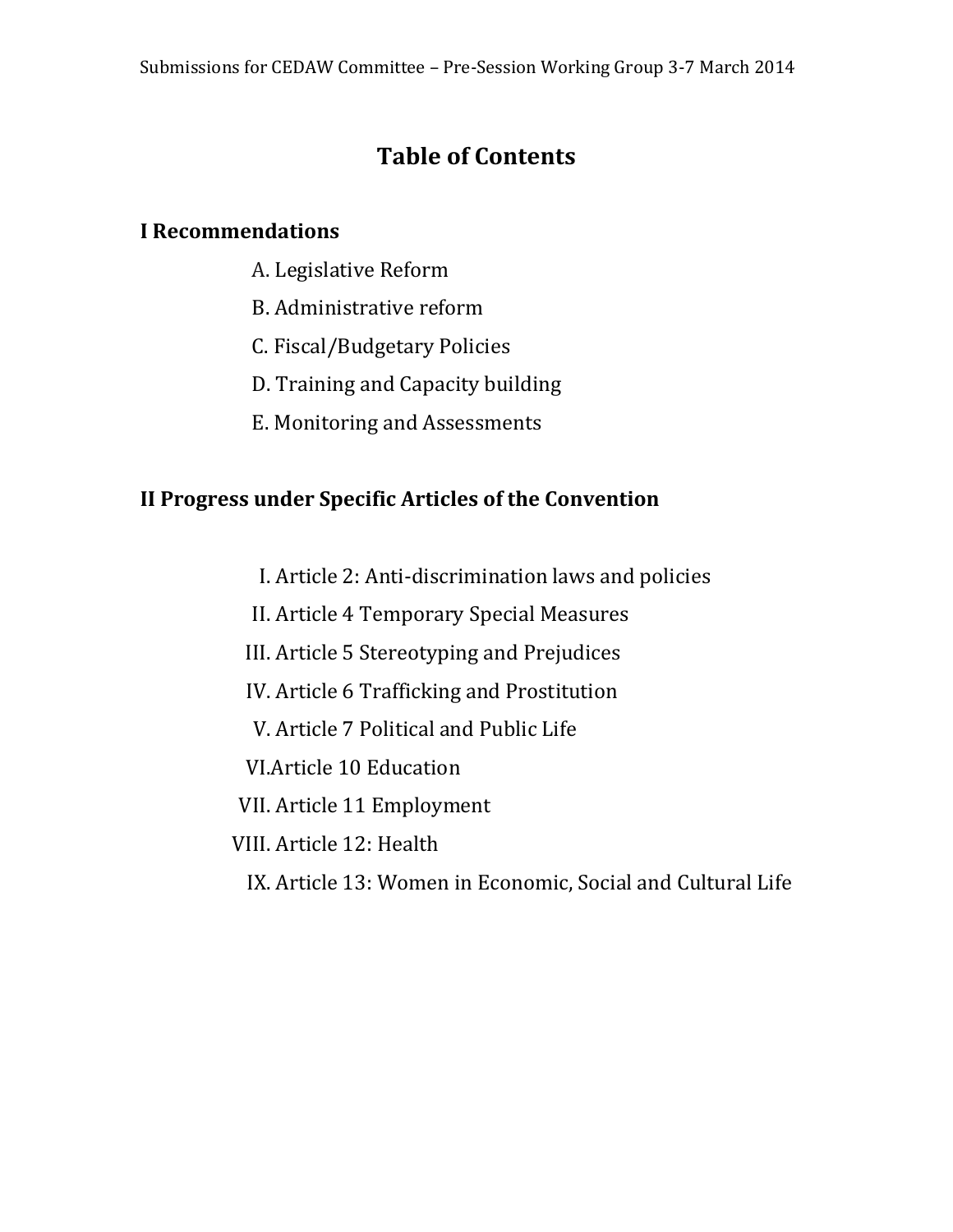# **Table of Contents**

## **I Recommendations**

- A. Legislative Reform
- B. Administrative reform
- C. Fiscal/Budgetary Policies
- D. Training and Capacity building
- E. Monitoring and Assessments

# **II Progress under Specific Articles of the Convention**

- I. Article 2: Anti-discrimination laws and policies
- II. Article 4 Temporary Special Measures
- III. Article 5 Stereotyping and Prejudices
- IV. Article 6 Trafficking and Prostitution
- V. Article 7 Political and Public Life
- VI.Article 10 Education
- VII. Article 11 Employment
- VIII. Article 12: Health
	- IX. Article 13: Women in Economic, Social and Cultural Life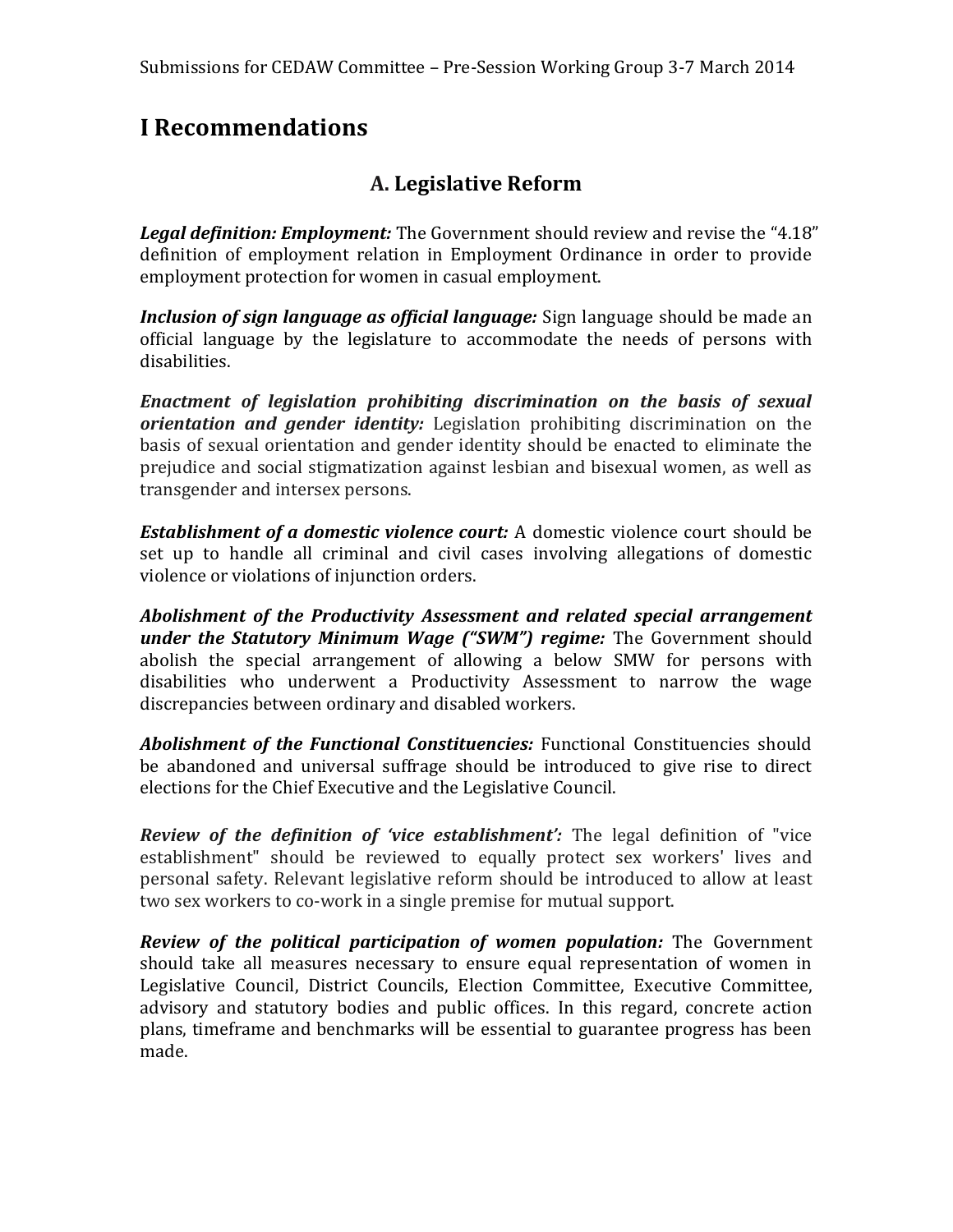# **I Recommendations**

### **A. Legislative Reform**

*Legal definition: Employment:* The Government should review and revise the "4.18" definition of employment relation in Employment Ordinance in order to provide employment protection for women in casual employment.

*Inclusion of sign language as official language:* Sign language should be made an official language by the legislature to accommodate the needs of persons with disabilities.

*Enactment of legislation prohibiting discrimination on the basis of sexual orientation and gender identity:* Legislation prohibiting discrimination on the basis of sexual orientation and gender identity should be enacted to eliminate the prejudice and social stigmatization against lesbian and bisexual women, as well as transgender and intersex persons.

*Establishment of a domestic violence court:* A domestic violence court should be set up to handle all criminal and civil cases involving allegations of domestic violence or violations of injunction orders.

*Abolishment of the Productivity Assessment and related special arrangement under the Statutory Minimum Wage ("SWM") regime:* The Government should abolish the special arrangement of allowing a below SMW for persons with disabilities who underwent a Productivity Assessment to narrow the wage discrepancies between ordinary and disabled workers.

*Abolishment of the Functional Constituencies:* Functional Constituencies should be abandoned and universal suffrage should be introduced to give rise to direct elections for the Chief Executive and the Legislative Council.

*Review of the definition of 'vice establishment':* The legal definition of "vice establishment" should be reviewed to equally protect sex workers' lives and personal safety. Relevant legislative reform should be introduced to allow at least two sex workers to co-work in a single premise for mutual support.

*Review of the political participation of women population:* The Government should take all measures necessary to ensure equal representation of women in Legislative Council, District Councils, Election Committee, Executive Committee, advisory and statutory bodies and public offices. In this regard, concrete action plans, timeframe and benchmarks will be essential to guarantee progress has been made.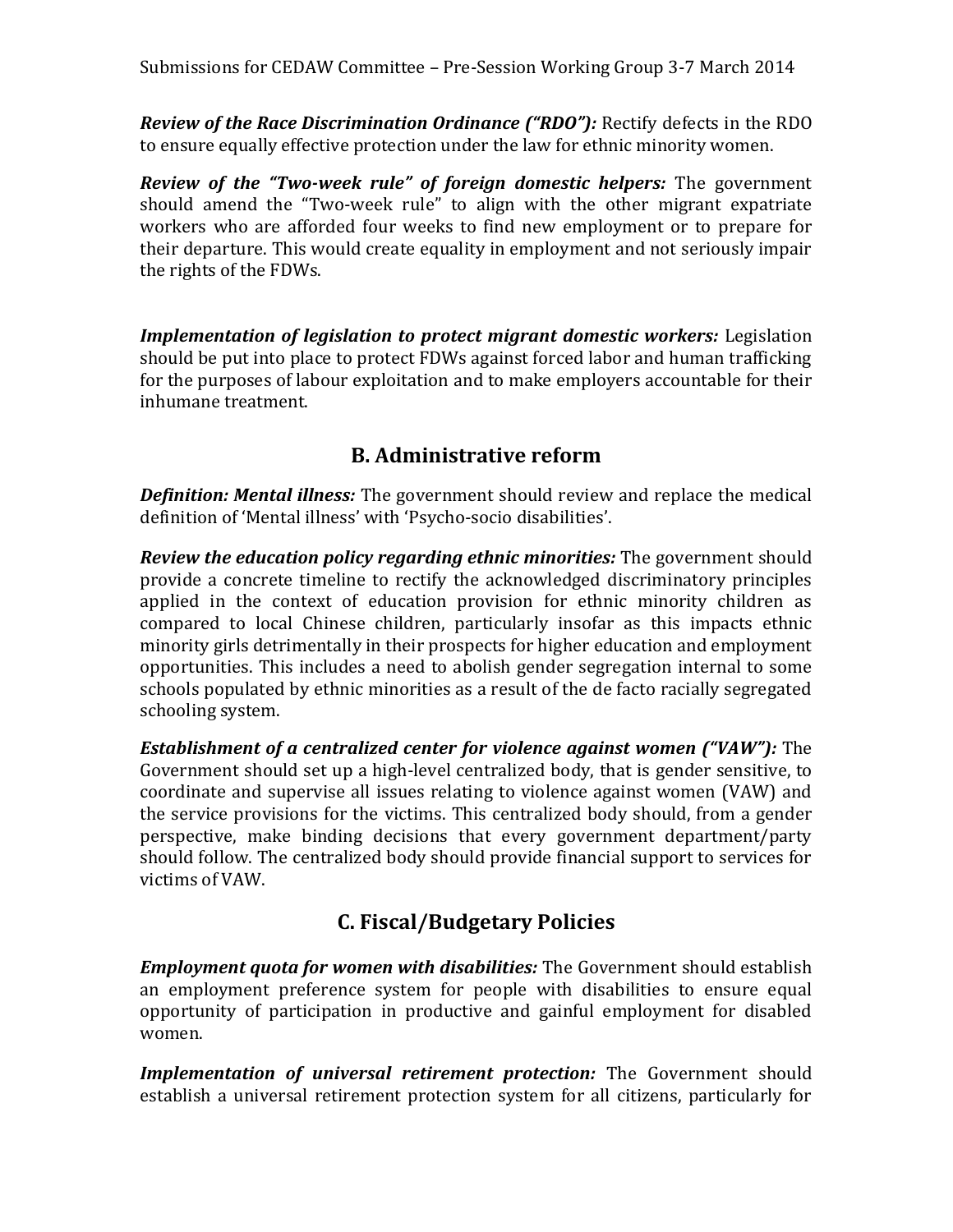*Review of the Race Discrimination Ordinance ("RDO"):* Rectify defects in the RDO to ensure equally effective protection under the law for ethnic minority women.

*Review of the "Two-week rule" of foreign domestic helpers:* The government should amend the "Two-week rule" to align with the other migrant expatriate workers who are afforded four weeks to find new employment or to prepare for their departure. This would create equality in employment and not seriously impair the rights of the FDWs.

*Implementation of legislation to protect migrant domestic workers:* Legislation should be put into place to protect FDWs against forced labor and human trafficking for the purposes of labour exploitation and to make employers accountable for their inhumane treatment.

## **B. Administrative reform**

*Definition: Mental illness:* The government should review and replace the medical definition of 'Mental illness' with 'Psycho-socio disabilities'.

*Review the education policy regarding ethnic minorities:* The government should provide a concrete timeline to rectify the acknowledged discriminatory principles applied in the context of education provision for ethnic minority children as compared to local Chinese children, particularly insofar as this impacts ethnic minority girls detrimentally in their prospects for higher education and employment opportunities. This includes a need to abolish gender segregation internal to some schools populated by ethnic minorities as a result of the de facto racially segregated schooling system.

*Establishment of a centralized center for violence against women ("VAW"):* The Government should set up a high-level centralized body, that is gender sensitive, to coordinate and supervise all issues relating to violence against women (VAW) and the service provisions for the victims. This centralized body should, from a gender perspective, make binding decisions that every government department/party should follow. The centralized body should provide financial support to services for victims of VAW.

## **C. Fiscal/Budgetary Policies**

*Employment quota for women with disabilities:* The Government should establish an employment preference system for people with disabilities to ensure equal opportunity of participation in productive and gainful employment for disabled women.

*Implementation of universal retirement protection:* The Government should establish a universal retirement protection system for all citizens, particularly for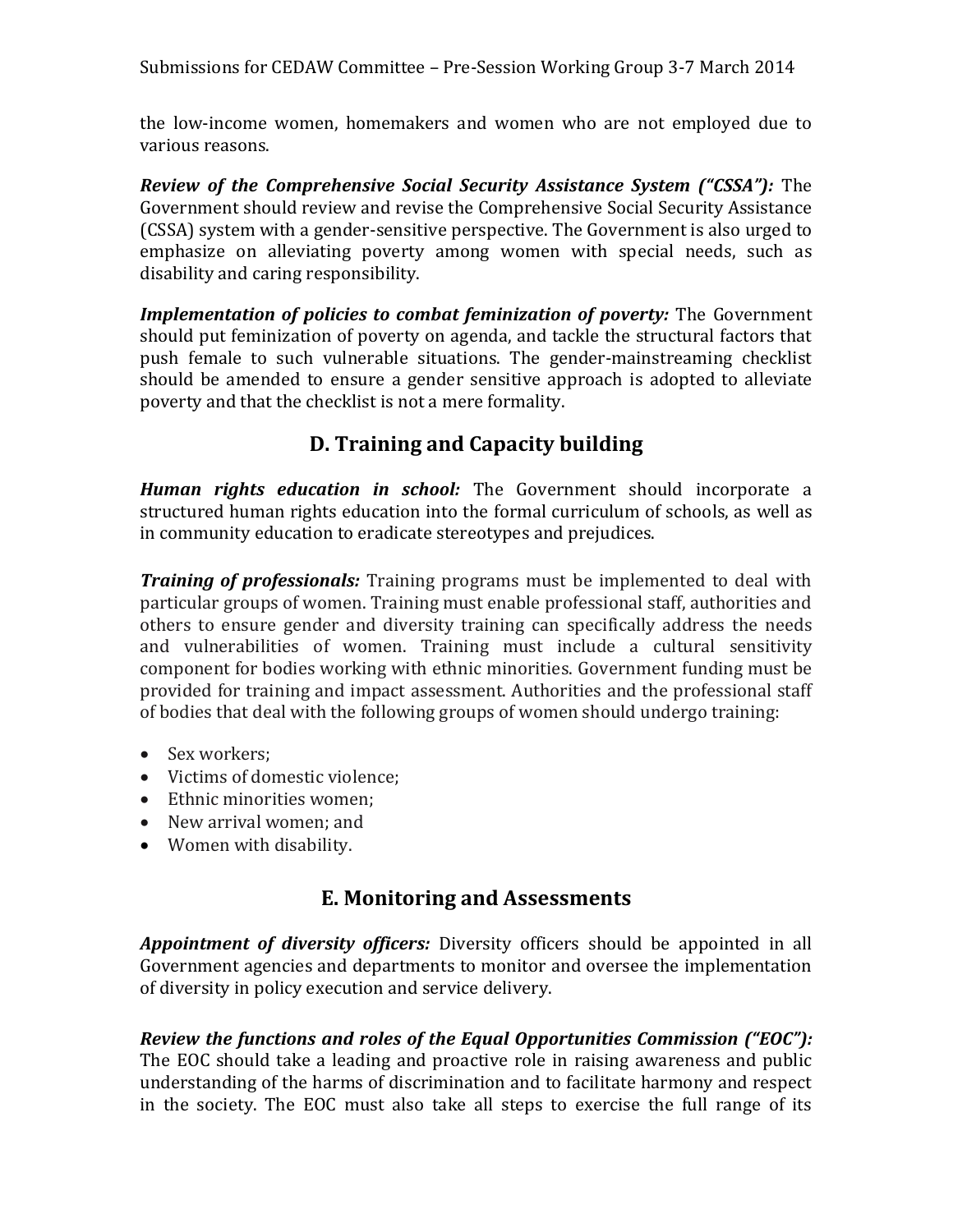the low-income women, homemakers and women who are not employed due to various reasons.

*Review of the Comprehensive Social Security Assistance System ("CSSA"):* The Government should review and revise the Comprehensive Social Security Assistance (CSSA) system with a gender-sensitive perspective. The Government is also urged to emphasize on alleviating poverty among women with special needs, such as disability and caring responsibility.

*Implementation of policies to combat feminization of poverty:* The Government should put feminization of poverty on agenda, and tackle the structural factors that push female to such vulnerable situations. The gender-mainstreaming checklist should be amended to ensure a gender sensitive approach is adopted to alleviate poverty and that the checklist is not a mere formality.

# **D. Training and Capacity building**

*Human rights education in school:* The Government should incorporate a structured human rights education into the formal curriculum of schools, as well as in community education to eradicate stereotypes and prejudices.

*Training of professionals:* Training programs must be implemented to deal with particular groups of women. Training must enable professional staff, authorities and others to ensure gender and diversity training can specifically address the needs and vulnerabilities of women. Training must include a cultural sensitivity component for bodies working with ethnic minorities. Government funding must be provided for training and impact assessment. Authorities and the professional staff of bodies that deal with the following groups of women should undergo training:

- Sex workers;
- Victims of domestic violence;
- Ethnic minorities women:
- New arrival women; and
- Women with disability.

# **E. Monitoring and Assessments**

*Appointment of diversity officers:* Diversity officers should be appointed in all Government agencies and departments to monitor and oversee the implementation of diversity in policy execution and service delivery.

## *Review the functions and roles of the Equal Opportunities Commission ("EOC"):*

The EOC should take a leading and proactive role in raising awareness and public understanding of the harms of discrimination and to facilitate harmony and respect in the society. The EOC must also take all steps to exercise the full range of its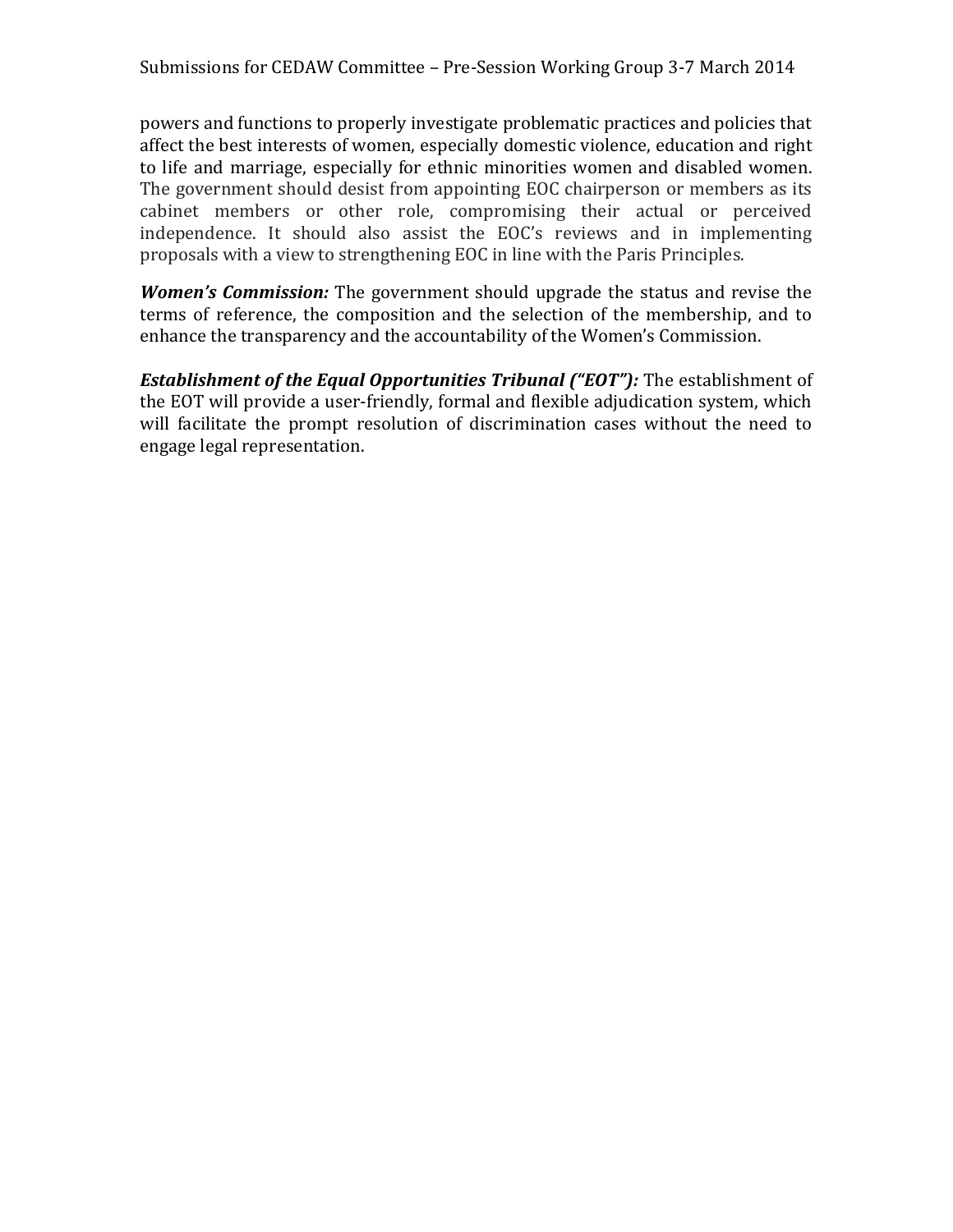powers and functions to properly investigate problematic practices and policies that affect the best interests of women, especially domestic violence, education and right to life and marriage, especially for ethnic minorities women and disabled women. The government should desist from appointing EOC chairperson or members as its cabinet members or other role, compromising their actual or perceived independence. It should also assist the EOC's reviews and in implementing proposals with a view to strengthening EOC in line with the Paris Principles.

*Women's Commission:* The government should upgrade the status and revise the terms of reference, the composition and the selection of the membership, and to enhance the transparency and the accountability of the Women's Commission.

*Establishment of the Equal Opportunities Tribunal ("EOT"):* The establishment of the EOT will provide a user-friendly, formal and flexible adjudication system, which will facilitate the prompt resolution of discrimination cases without the need to engage legal representation.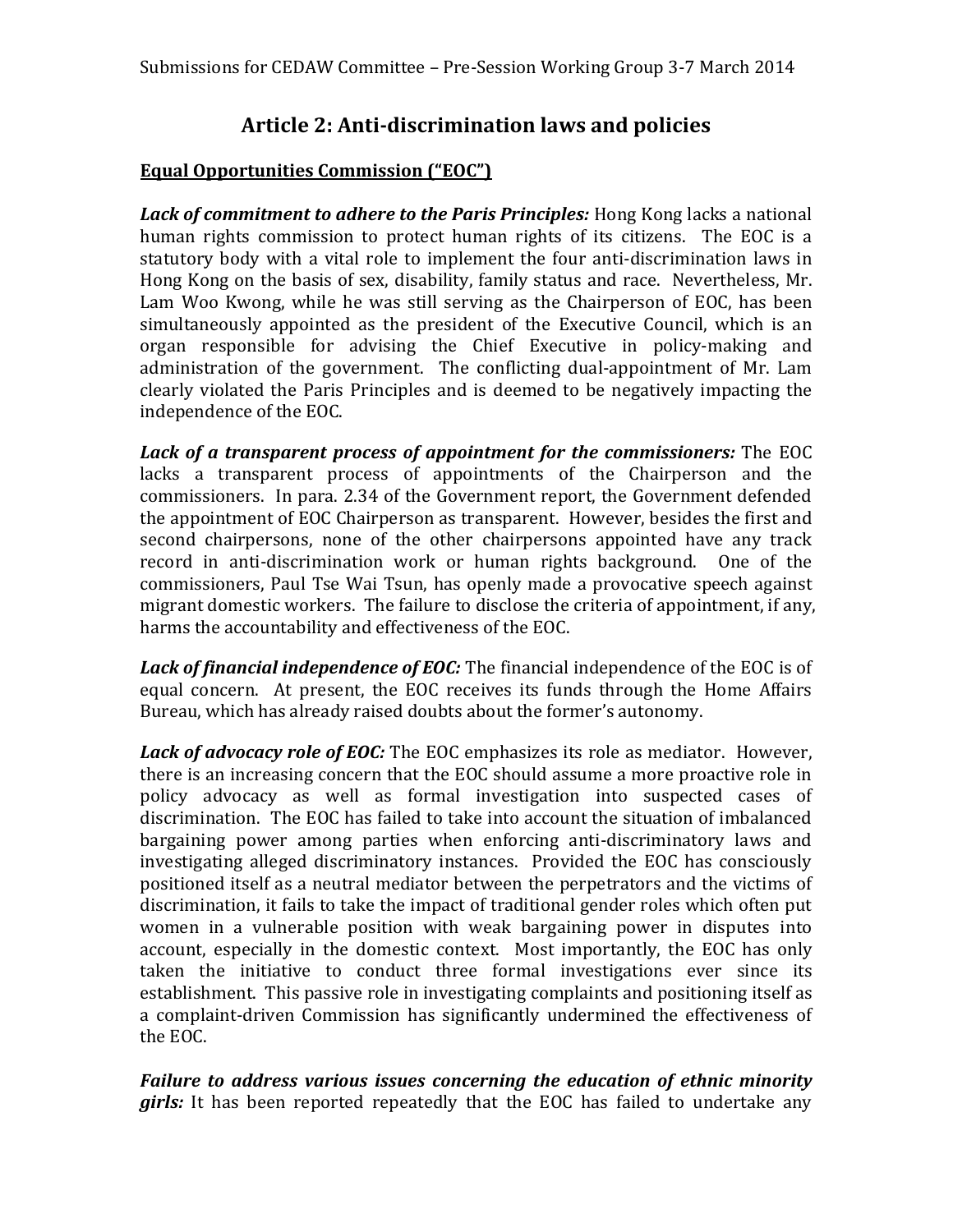## **Article 2: Anti-discrimination laws and policies**

#### **Equal Opportunities Commission ("EOC")**

*Lack of commitment to adhere to the Paris Principles:* Hong Kong lacks a national human rights commission to protect human rights of its citizens. The EOC is a statutory body with a vital role to implement the four anti-discrimination laws in Hong Kong on the basis of sex, disability, family status and race. Nevertheless, Mr. Lam Woo Kwong, while he was still serving as the Chairperson of EOC, has been simultaneously appointed as the president of the Executive Council, which is an organ responsible for advising the Chief Executive in policy-making and administration of the government. The conflicting dual-appointment of Mr. Lam clearly violated the Paris Principles and is deemed to be negatively impacting the independence of the EOC.

*Lack of a transparent process of appointment for the commissioners:* The EOC lacks a transparent process of appointments of the Chairperson and the commissioners. In para. 2.34 of the Government report, the Government defended the appointment of EOC Chairperson as transparent. However, besides the first and second chairpersons, none of the other chairpersons appointed have any track record in anti-discrimination work or human rights background. One of the commissioners, Paul Tse Wai Tsun, has openly made a provocative speech against migrant domestic workers. The failure to disclose the criteria of appointment, if any, harms the accountability and effectiveness of the EOC.

*Lack of financial independence of EOC:* The financial independence of the EOC is of equal concern. At present, the EOC receives its funds through the Home Affairs Bureau, which has already raised doubts about the former's autonomy.

*Lack of advocacy role of EOC:* The EOC emphasizes its role as mediator. However, there is an increasing concern that the EOC should assume a more proactive role in policy advocacy as well as formal investigation into suspected cases of discrimination. The EOC has failed to take into account the situation of imbalanced bargaining power among parties when enforcing anti-discriminatory laws and investigating alleged discriminatory instances. Provided the EOC has consciously positioned itself as a neutral mediator between the perpetrators and the victims of discrimination, it fails to take the impact of traditional gender roles which often put women in a vulnerable position with weak bargaining power in disputes into account, especially in the domestic context. Most importantly, the EOC has only taken the initiative to conduct three formal investigations ever since its establishment. This passive role in investigating complaints and positioning itself as a complaint-driven Commission has significantly undermined the effectiveness of the EOC.

*Failure to address various issues concerning the education of ethnic minority girls:* It has been reported repeatedly that the EOC has failed to undertake any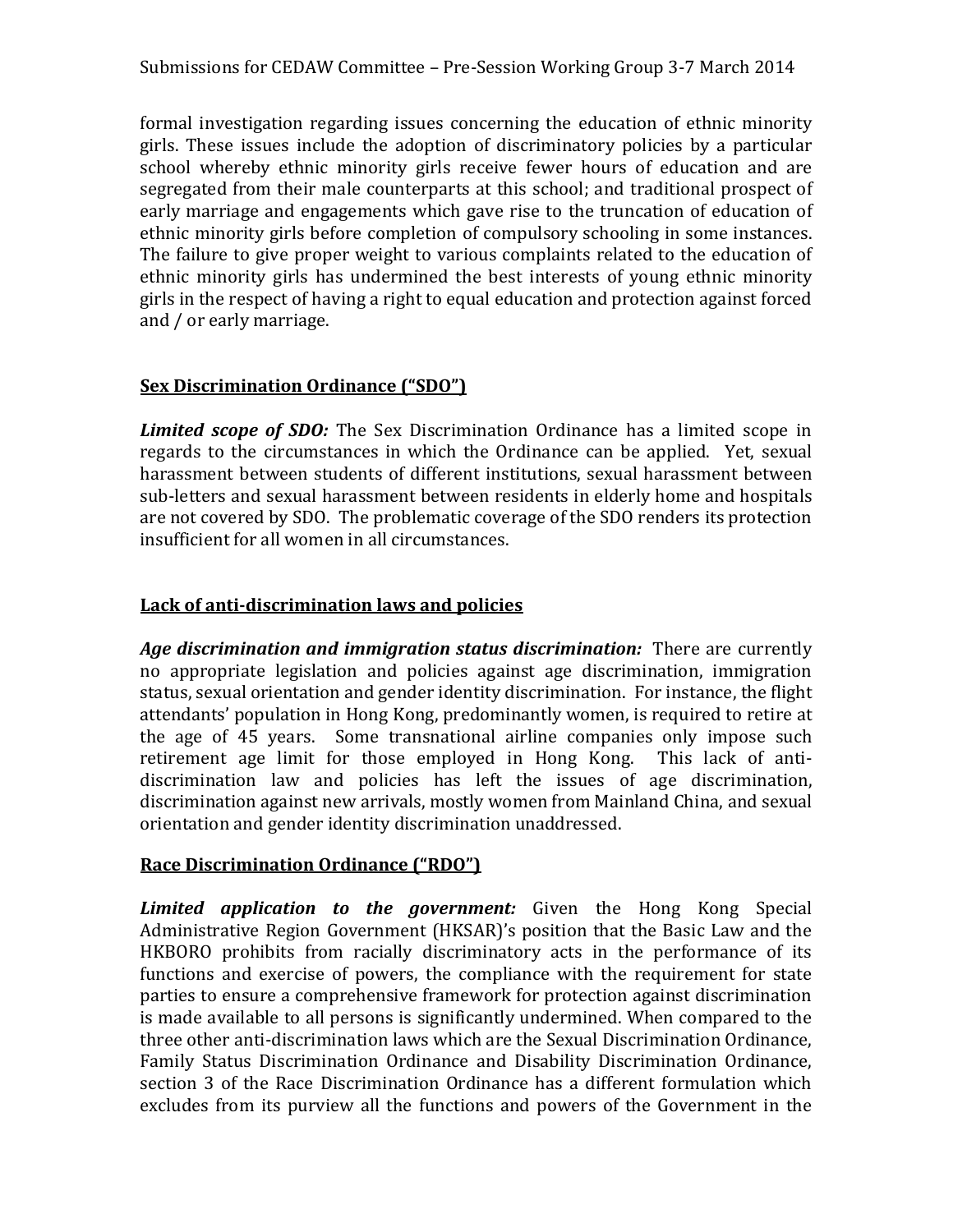formal investigation regarding issues concerning the education of ethnic minority girls. These issues include the adoption of discriminatory policies by a particular school whereby ethnic minority girls receive fewer hours of education and are segregated from their male counterparts at this school; and traditional prospect of early marriage and engagements which gave rise to the truncation of education of ethnic minority girls before completion of compulsory schooling in some instances. The failure to give proper weight to various complaints related to the education of ethnic minority girls has undermined the best interests of young ethnic minority girls in the respect of having a right to equal education and protection against forced and / or early marriage.

#### **Sex Discrimination Ordinance ("SDO")**

*Limited scope of SDO:* The Sex Discrimination Ordinance has a limited scope in regards to the circumstances in which the Ordinance can be applied. Yet, sexual harassment between students of different institutions, sexual harassment between sub-letters and sexual harassment between residents in elderly home and hospitals are not covered by SDO. The problematic coverage of the SDO renders its protection insufficient for all women in all circumstances.

#### **Lack of anti-discrimination laws and policies**

*Age discrimination and immigration status discrimination:* There are currently no appropriate legislation and policies against age discrimination, immigration status, sexual orientation and gender identity discrimination. For instance, the flight attendants' population in Hong Kong, predominantly women, is required to retire at the age of 45 years. Some transnational airline companies only impose such retirement age limit for those employed in Hong Kong. This lack of antidiscrimination law and policies has left the issues of age discrimination, discrimination against new arrivals, mostly women from Mainland China, and sexual orientation and gender identity discrimination unaddressed.

#### **Race Discrimination Ordinance ("RDO")**

*Limited application to the government:* Given the Hong Kong Special Administrative Region Government (HKSAR)'s position that the Basic Law and the HKBORO prohibits from racially discriminatory acts in the performance of its functions and exercise of powers, the compliance with the requirement for state parties to ensure a comprehensive framework for protection against discrimination is made available to all persons is significantly undermined. When compared to the three other anti-discrimination laws which are the Sexual Discrimination Ordinance, Family Status Discrimination Ordinance and Disability Discrimination Ordinance, section 3 of the Race Discrimination Ordinance has a different formulation which excludes from its purview all the functions and powers of the Government in the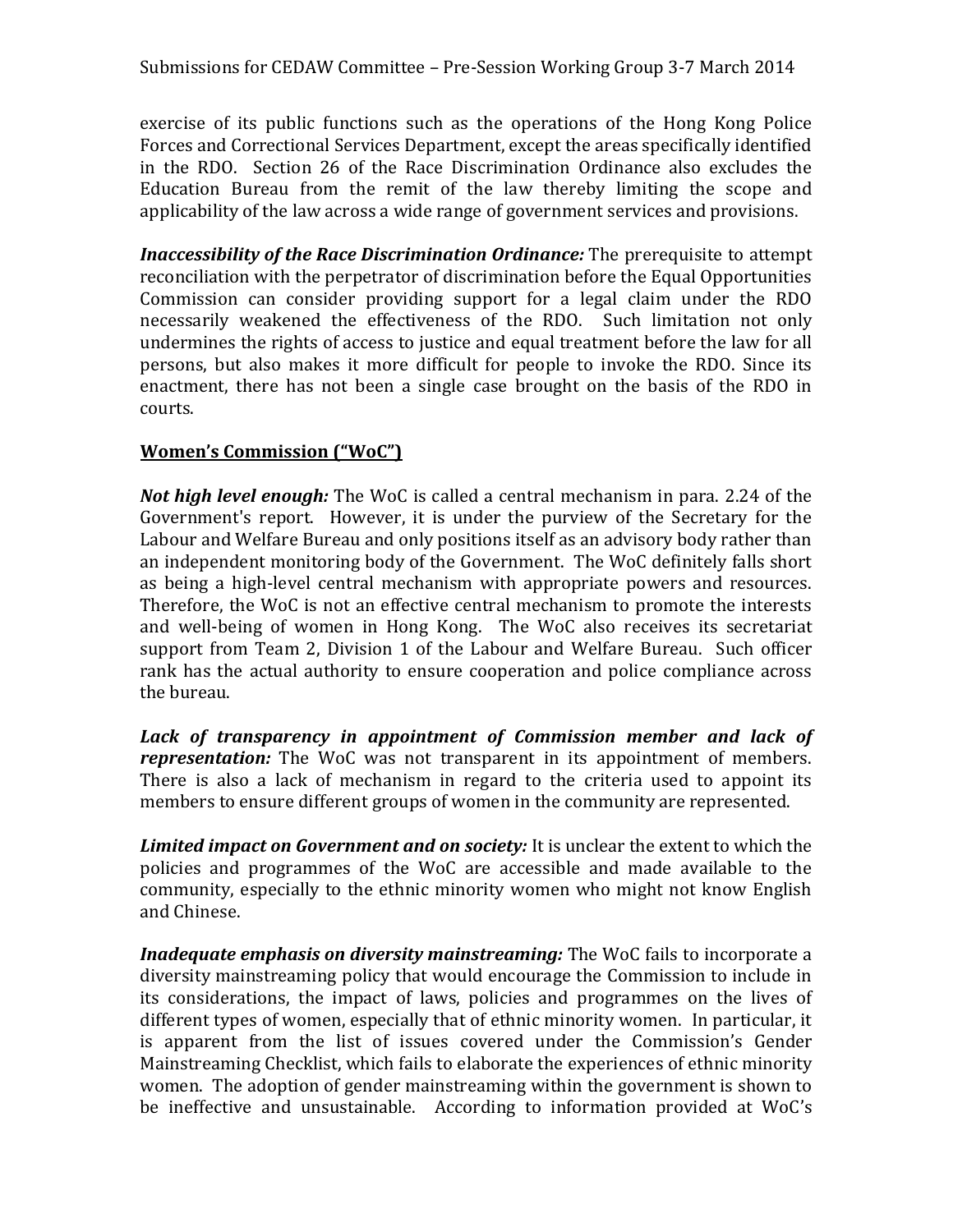exercise of its public functions such as the operations of the Hong Kong Police Forces and Correctional Services Department, except the areas specifically identified in the RDO. Section 26 of the Race Discrimination Ordinance also excludes the Education Bureau from the remit of the law thereby limiting the scope and applicability of the law across a wide range of government services and provisions.

*Inaccessibility of the Race Discrimination Ordinance:* The prerequisite to attempt reconciliation with the perpetrator of discrimination before the Equal Opportunities Commission can consider providing support for a legal claim under the RDO necessarily weakened the effectiveness of the RDO. Such limitation not only undermines the rights of access to justice and equal treatment before the law for all persons, but also makes it more difficult for people to invoke the RDO. Since its enactment, there has not been a single case brought on the basis of the RDO in courts.

#### **Women's Commission ("WoC")**

*Not high level enough:* The WoC is called a central mechanism in para. 2.24 of the Government's report. However, it is under the purview of the Secretary for the Labour and Welfare Bureau and only positions itself as an advisory body rather than an independent monitoring body of the Government. The WoC definitely falls short as being a high-level central mechanism with appropriate powers and resources. Therefore, the WoC is not an effective central mechanism to promote the interests and well-being of women in Hong Kong. The WoC also receives its secretariat support from Team 2, Division 1 of the Labour and Welfare Bureau. Such officer rank has the actual authority to ensure cooperation and police compliance across the bureau.

Lack of transparency in appointment of Commission member and lack of *representation:* The WoC was not transparent in its appointment of members. There is also a lack of mechanism in regard to the criteria used to appoint its members to ensure different groups of women in the community are represented.

*Limited impact on Government and on society:* It is unclear the extent to which the policies and programmes of the WoC are accessible and made available to the community, especially to the ethnic minority women who might not know English and Chinese.

*Inadequate emphasis on diversity mainstreaming:* The WoC fails to incorporate a diversity mainstreaming policy that would encourage the Commission to include in its considerations, the impact of laws, policies and programmes on the lives of different types of women, especially that of ethnic minority women. In particular, it is apparent from the list of issues covered under the Commission's Gender Mainstreaming Checklist, which fails to elaborate the experiences of ethnic minority women. The adoption of gender mainstreaming within the government is shown to be ineffective and unsustainable. According to information provided at WoC's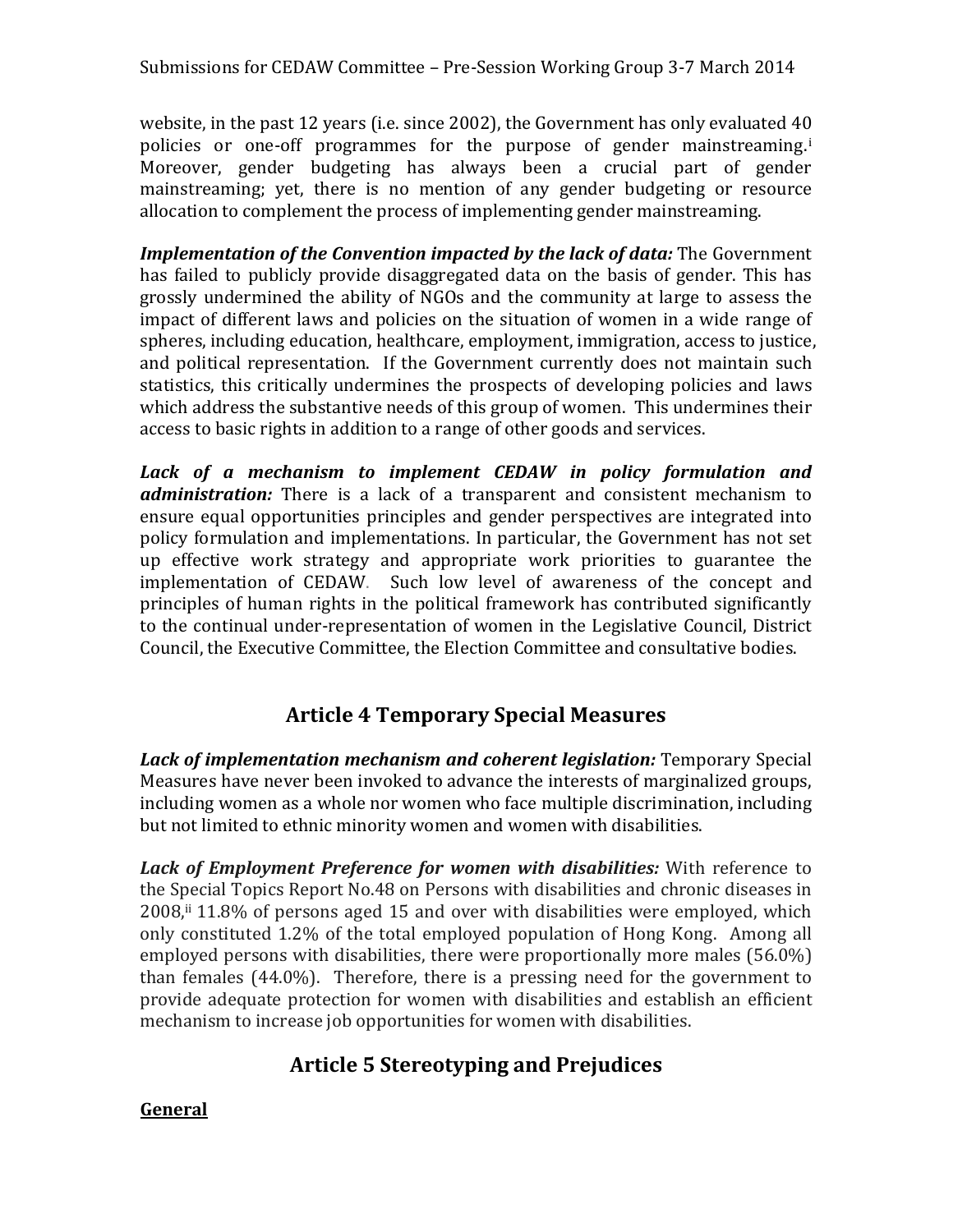website, in the past 12 years (i.e. since 2002), the Government has only evaluated 40 policies or one-off programmes for the purpose of gender mainstreaming.<sup>i</sup> Moreover, gender budgeting has always been a crucial part of gender mainstreaming; yet, there is no mention of any gender budgeting or resource allocation to complement the process of implementing gender mainstreaming.

*Implementation of the Convention impacted by the lack of data:* The Government has failed to publicly provide disaggregated data on the basis of gender. This has grossly undermined the ability of NGOs and the community at large to assess the impact of different laws and policies on the situation of women in a wide range of spheres, including education, healthcare, employment, immigration, access to justice, and political representation. If the Government currently does not maintain such statistics, this critically undermines the prospects of developing policies and laws which address the substantive needs of this group of women. This undermines their access to basic rights in addition to a range of other goods and services.

*Lack of a mechanism to implement CEDAW in policy formulation and administration:* There is a lack of a transparent and consistent mechanism to ensure equal opportunities principles and gender perspectives are integrated into policy formulation and implementations. In particular, the Government has not set up effective work strategy and appropriate work priorities to guarantee the implementation of CEDAW. Such low level of awareness of the concept and principles of human rights in the political framework has contributed significantly to the continual under-representation of women in the Legislative Council, District Council, the Executive Committee, the Election Committee and consultative bodies.

## **Article 4 Temporary Special Measures**

*Lack of implementation mechanism and coherent legislation:* Temporary Special Measures have never been invoked to advance the interests of marginalized groups, including women as a whole nor women who face multiple discrimination, including but not limited to ethnic minority women and women with disabilities.

*Lack of Employment Preference for women with disabilities:* With reference to the Special Topics Report No.48 on Persons with disabilities and chronic diseases in 2008,ii 11.8% of persons aged 15 and over with disabilities were employed, which only constituted 1.2% of the total employed population of Hong Kong. Among all employed persons with disabilities, there were proportionally more males (56.0%) than females (44.0%). Therefore, there is a pressing need for the government to provide adequate protection for women with disabilities and establish an efficient mechanism to increase job opportunities for women with disabilities.

# **Article 5 Stereotyping and Prejudices**

#### **General**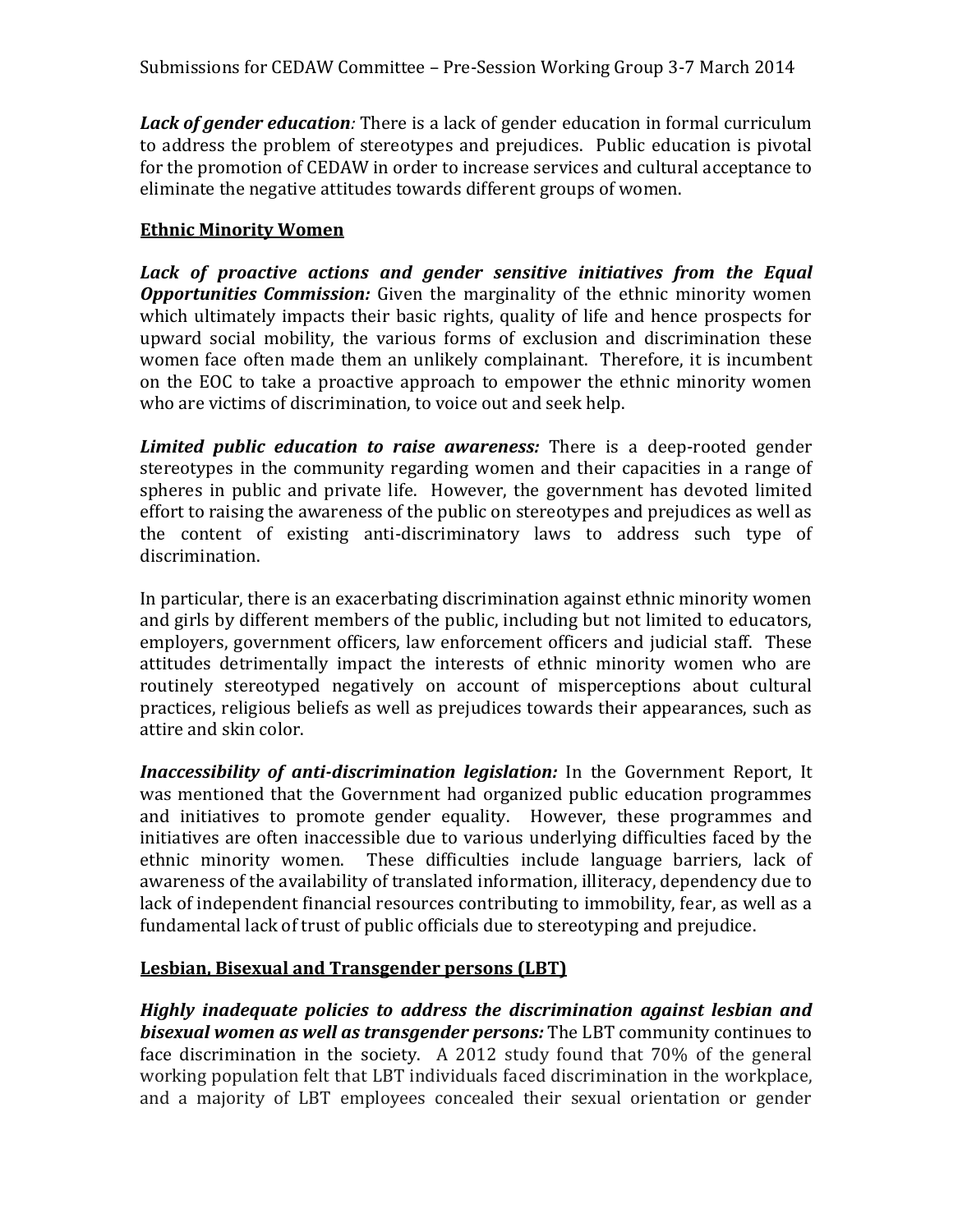*Lack of gender education:* There is a lack of gender education in formal curriculum to address the problem of stereotypes and prejudices. Public education is pivotal for the promotion of CEDAW in order to increase services and cultural acceptance to eliminate the negative attitudes towards different groups of women.

#### **Ethnic Minority Women**

Lack of proactive actions and gender sensitive initiatives from the Equal *Opportunities Commission:* Given the marginality of the ethnic minority women which ultimately impacts their basic rights, quality of life and hence prospects for upward social mobility, the various forms of exclusion and discrimination these women face often made them an unlikely complainant. Therefore, it is incumbent on the EOC to take a proactive approach to empower the ethnic minority women who are victims of discrimination, to voice out and seek help.

*Limited public education to raise awareness:* There is a deep-rooted gender stereotypes in the community regarding women and their capacities in a range of spheres in public and private life. However, the government has devoted limited effort to raising the awareness of the public on stereotypes and prejudices as well as the content of existing anti-discriminatory laws to address such type of discrimination.

In particular, there is an exacerbating discrimination against ethnic minority women and girls by different members of the public, including but not limited to educators, employers, government officers, law enforcement officers and judicial staff. These attitudes detrimentally impact the interests of ethnic minority women who are routinely stereotyped negatively on account of misperceptions about cultural practices, religious beliefs as well as prejudices towards their appearances, such as attire and skin color.

*Inaccessibility of anti-discrimination legislation:* In the Government Report, It was mentioned that the Government had organized public education programmes and initiatives to promote gender equality. However, these programmes and initiatives are often inaccessible due to various underlying difficulties faced by the ethnic minority women. These difficulties include language barriers, lack of awareness of the availability of translated information, illiteracy, dependency due to lack of independent financial resources contributing to immobility, fear, as well as a fundamental lack of trust of public officials due to stereotyping and prejudice.

#### **Lesbian, Bisexual and Transgender persons (LBT)**

*Highly inadequate policies to address the discrimination against lesbian and bisexual women as well as transgender persons:* The LBT community continues to face discrimination in the society. A 2012 study found that 70% of the general working population felt that LBT individuals faced discrimination in the workplace, and a majority of LBT employees concealed their sexual orientation or gender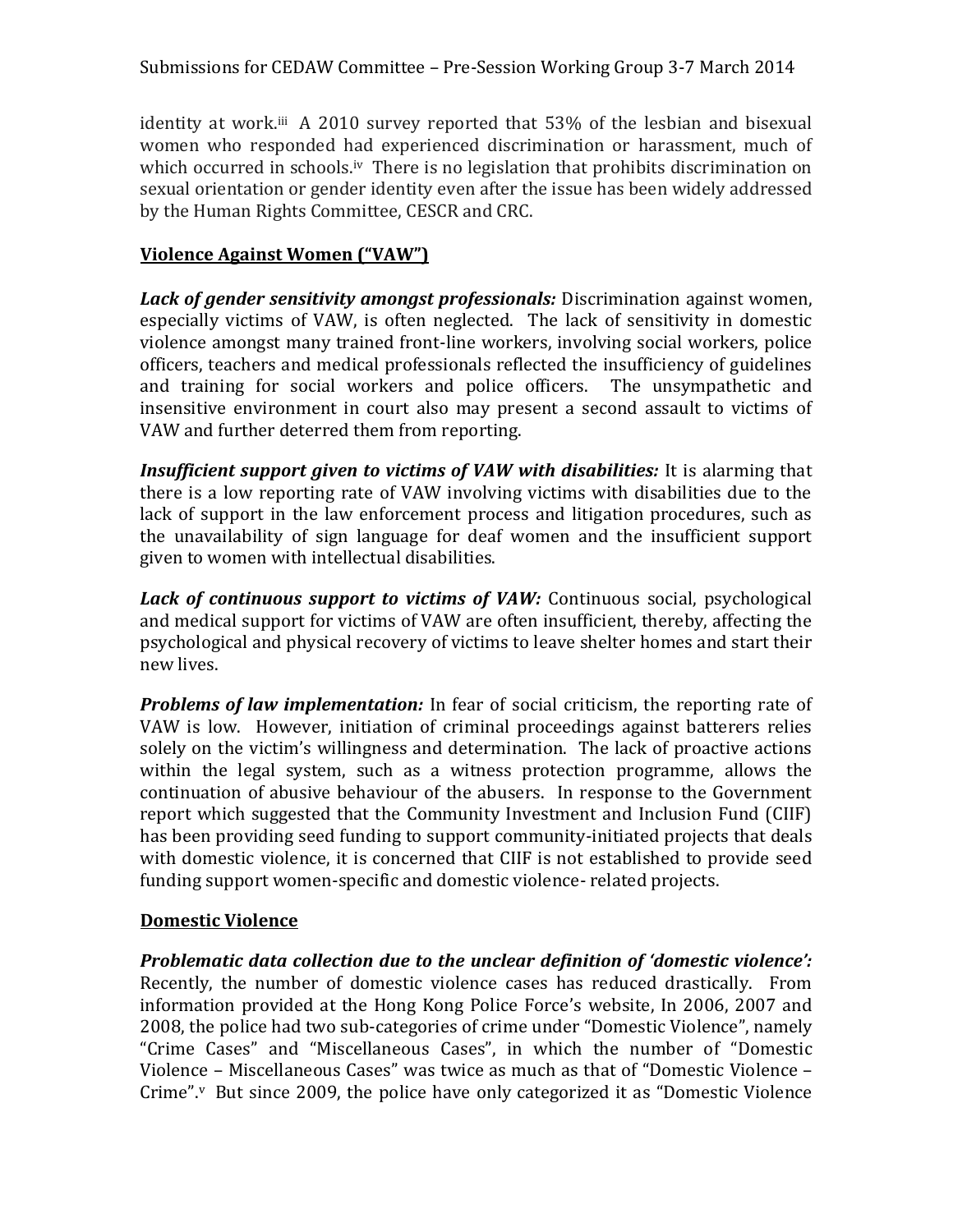identity at work.<sup>iii</sup> A 2010 survey reported that 53% of the lesbian and bisexual women who responded had experienced discrimination or harassment, much of which occurred in schools.<sup>iv</sup> There is no legislation that prohibits discrimination on sexual orientation or gender identity even after the issue has been widely addressed by the Human Rights Committee, CESCR and CRC.

#### **Violence Against Women ("VAW")**

*Lack of gender sensitivity amongst professionals:* Discrimination against women, especially victims of VAW, is often neglected. The lack of sensitivity in domestic violence amongst many trained front-line workers, involving social workers, police officers, teachers and medical professionals reflected the insufficiency of guidelines and training for social workers and police officers. The unsympathetic and insensitive environment in court also may present a second assault to victims of VAW and further deterred them from reporting.

*Insufficient support given to victims of VAW with disabilities:* It is alarming that there is a low reporting rate of VAW involving victims with disabilities due to the lack of support in the law enforcement process and litigation procedures, such as the unavailability of sign language for deaf women and the insufficient support given to women with intellectual disabilities.

*Lack of continuous support to victims of VAW:* Continuous social, psychological and medical support for victims of VAW are often insufficient, thereby, affecting the psychological and physical recovery of victims to leave shelter homes and start their new lives.

*Problems of law implementation:* In fear of social criticism, the reporting rate of VAW is low. However, initiation of criminal proceedings against batterers relies solely on the victim's willingness and determination. The lack of proactive actions within the legal system, such as a witness protection programme, allows the continuation of abusive behaviour of the abusers. In response to the Government report which suggested that the Community Investment and Inclusion Fund (CIIF) has been providing seed funding to support community-initiated projects that deals with domestic violence, it is concerned that CIIF is not established to provide seed funding support women-specific and domestic violence- related projects.

#### **Domestic Violence**

*Problematic data collection due to the unclear definition of 'domestic violence':*  Recently, the number of domestic violence cases has reduced drastically. From information provided at the Hong Kong Police Force's website, In 2006, 2007 and 2008, the police had two sub-categories of crime under "Domestic Violence", namely "Crime Cases" and "Miscellaneous Cases", in which the number of "Domestic Violence – Miscellaneous Cases" was twice as much as that of "Domestic Violence – Crime".<sup>v</sup> But since 2009, the police have only categorized it as "Domestic Violence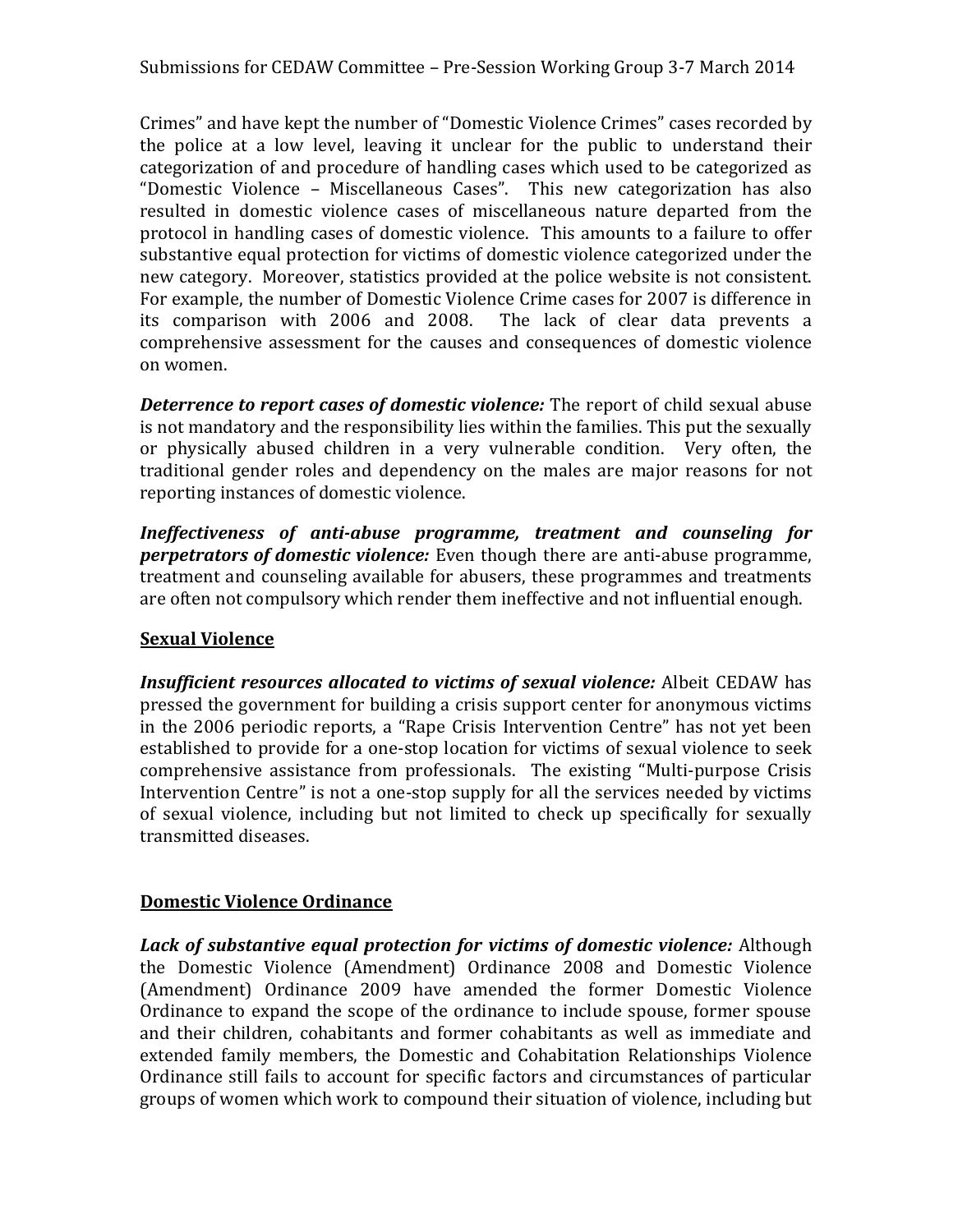Crimes" and have kept the number of "Domestic Violence Crimes" cases recorded by the police at a low level, leaving it unclear for the public to understand their categorization of and procedure of handling cases which used to be categorized as "Domestic Violence – Miscellaneous Cases". This new categorization has also resulted in domestic violence cases of miscellaneous nature departed from the protocol in handling cases of domestic violence. This amounts to a failure to offer substantive equal protection for victims of domestic violence categorized under the new category. Moreover, statistics provided at the police website is not consistent. For example, the number of Domestic Violence Crime cases for 2007 is difference in its comparison with 2006 and 2008. The lack of clear data prevents a comprehensive assessment for the causes and consequences of domestic violence on women.

*Deterrence to report cases of domestic violence:* The report of child sexual abuse is not mandatory and the responsibility lies within the families. This put the sexually or physically abused children in a very vulnerable condition. Very often, the traditional gender roles and dependency on the males are major reasons for not reporting instances of domestic violence.

*Ineffectiveness of anti-abuse programme, treatment and counseling for perpetrators of domestic violence:* Even though there are anti-abuse programme, treatment and counseling available for abusers, these programmes and treatments are often not compulsory which render them ineffective and not influential enough.

#### **Sexual Violence**

*Insufficient resources allocated to victims of sexual violence:* Albeit CEDAW has pressed the government for building a crisis support center for anonymous victims in the 2006 periodic reports, a "Rape Crisis Intervention Centre" has not yet been established to provide for a one-stop location for victims of sexual violence to seek comprehensive assistance from professionals. The existing "Multi-purpose Crisis Intervention Centre" is not a one-stop supply for all the services needed by victims of sexual violence, including but not limited to check up specifically for sexually transmitted diseases.

#### **Domestic Violence Ordinance**

*Lack of substantive equal protection for victims of domestic violence:* Although the Domestic Violence (Amendment) Ordinance 2008 and Domestic Violence (Amendment) Ordinance 2009 have amended the former Domestic Violence Ordinance to expand the scope of the ordinance to include spouse, former spouse and their children, cohabitants and former cohabitants as well as immediate and extended family members, the Domestic and Cohabitation Relationships Violence Ordinance still fails to account for specific factors and circumstances of particular groups of women which work to compound their situation of violence, including but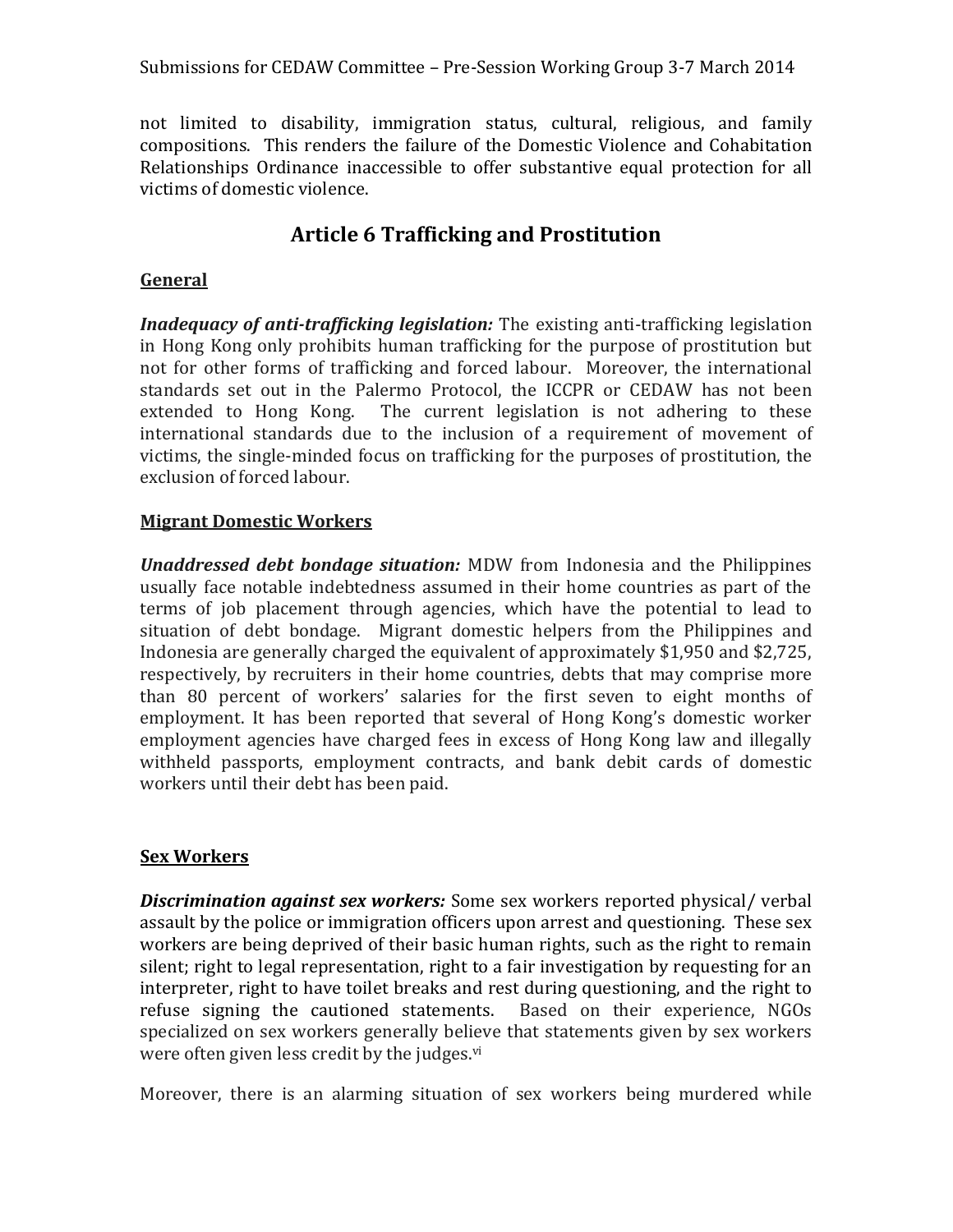not limited to disability, immigration status, cultural, religious, and family compositions. This renders the failure of the Domestic Violence and Cohabitation Relationships Ordinance inaccessible to offer substantive equal protection for all victims of domestic violence.

## **Article 6 Trafficking and Prostitution**

#### **General**

*Inadequacy of anti-trafficking legislation:* The existing anti-trafficking legislation in Hong Kong only prohibits human trafficking for the purpose of prostitution but not for other forms of trafficking and forced labour. Moreover, the international standards set out in the Palermo Protocol, the ICCPR or CEDAW has not been extended to Hong Kong. The current legislation is not adhering to these international standards due to the inclusion of a requirement of movement of victims, the single-minded focus on trafficking for the purposes of prostitution, the exclusion of forced labour.

#### **Migrant Domestic Workers**

*Unaddressed debt bondage situation:* MDW from Indonesia and the Philippines usually face notable indebtedness assumed in their home countries as part of the terms of job placement through agencies, which have the potential to lead to situation of debt bondage. Migrant domestic helpers from the Philippines and Indonesia are generally charged the equivalent of approximately \$1,950 and \$2,725, respectively, by recruiters in their home countries, debts that may comprise more than 80 percent of workers' salaries for the first seven to eight months of employment. It has been reported that several of Hong Kong's domestic worker employment agencies have charged fees in excess of Hong Kong law and illegally withheld passports, employment contracts, and bank debit cards of domestic workers until their debt has been paid.

#### **Sex Workers**

*Discrimination against sex workers:* Some sex workers reported physical/ verbal assault by the police or immigration officers upon arrest and questioning. These sex workers are being deprived of their basic human rights, such as the right to remain silent; right to legal representation, right to a fair investigation by requesting for an interpreter, right to have toilet breaks and rest during questioning, and the right to refuse signing the cautioned statements. Based on their experience, NGOs specialized on sex workers generally believe that statements given by sex workers were often given less credit by the judges.<sup>vi</sup>

Moreover, there is an alarming situation of sex workers being murdered while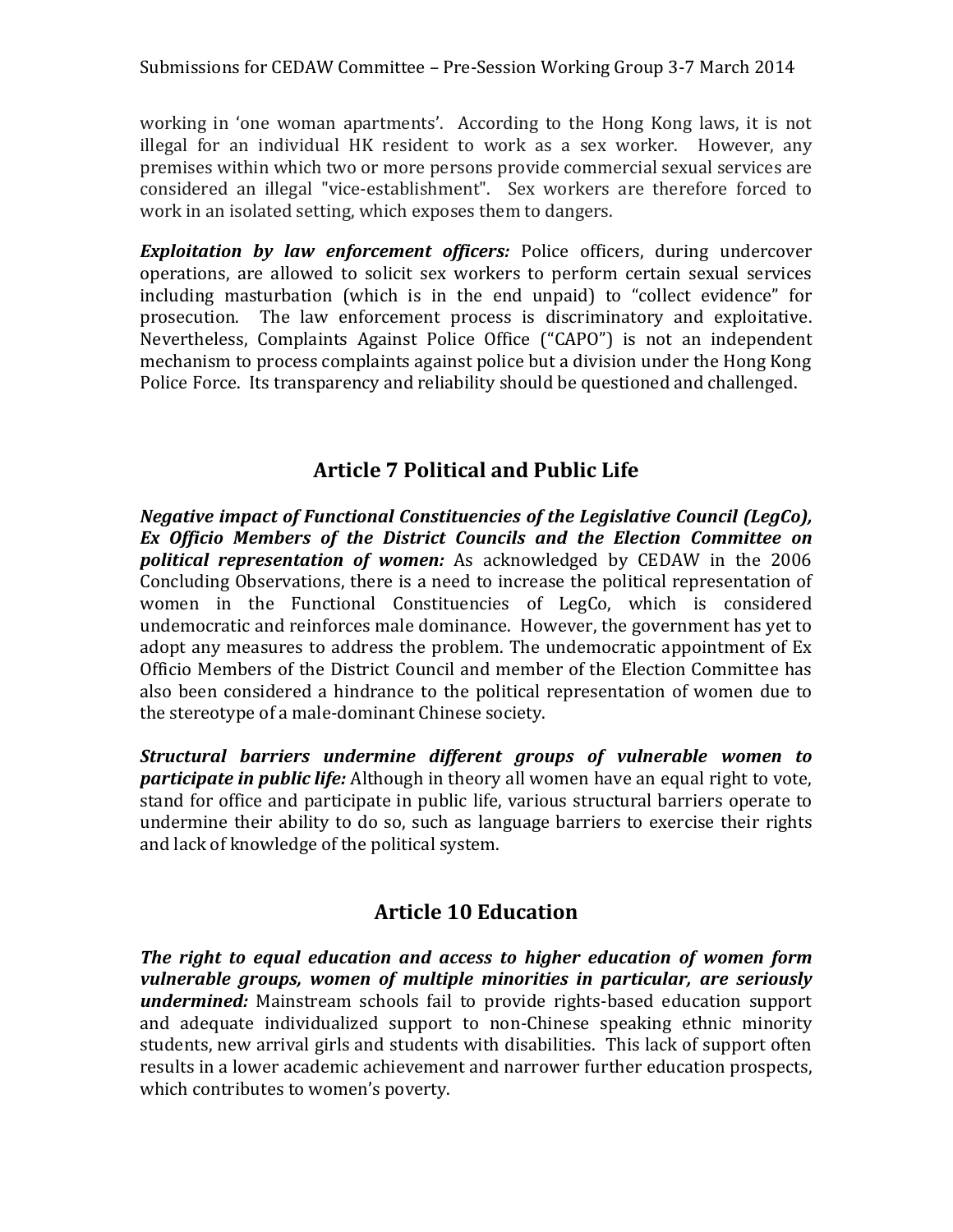working in 'one woman apartments'. According to the Hong Kong laws, it is not illegal for an individual HK resident to work as a sex worker. However, any premises within which two or more persons provide commercial sexual services are considered an illegal "vice-establishment". Sex workers are therefore forced to work in an isolated setting, which exposes them to dangers.

**Exploitation by law enforcement officers:** Police officers, during undercover operations, are allowed to solicit sex workers to perform certain sexual services including masturbation (which is in the end unpaid) to "collect evidence" for prosecution. The law enforcement process is discriminatory and exploitative. Nevertheless, Complaints Against Police Office ("CAPO") is not an independent mechanism to process complaints against police but a division under the Hong Kong Police Force. Its transparency and reliability should be questioned and challenged.

### **Article 7 Political and Public Life**

*Negative impact of Functional Constituencies of the Legislative Council (LegCo), Ex Officio Members of the District Councils and the Election Committee on political representation of women:* As acknowledged by CEDAW in the 2006 Concluding Observations, there is a need to increase the political representation of women in the Functional Constituencies of LegCo, which is considered undemocratic and reinforces male dominance. However, the government has yet to adopt any measures to address the problem. The undemocratic appointment of Ex Officio Members of the District Council and member of the Election Committee has also been considered a hindrance to the political representation of women due to the stereotype of a male-dominant Chinese society.

*Structural barriers undermine different groups of vulnerable women to participate in public life:* Although in theory all women have an equal right to vote, stand for office and participate in public life, various structural barriers operate to undermine their ability to do so, such as language barriers to exercise their rights and lack of knowledge of the political system.

### **Article 10 Education**

*The right to equal education and access to higher education of women form vulnerable groups, women of multiple minorities in particular, are seriously undermined:* Mainstream schools fail to provide rights-based education support and adequate individualized support to non-Chinese speaking ethnic minority students, new arrival girls and students with disabilities. This lack of support often results in a lower academic achievement and narrower further education prospects, which contributes to women's poverty.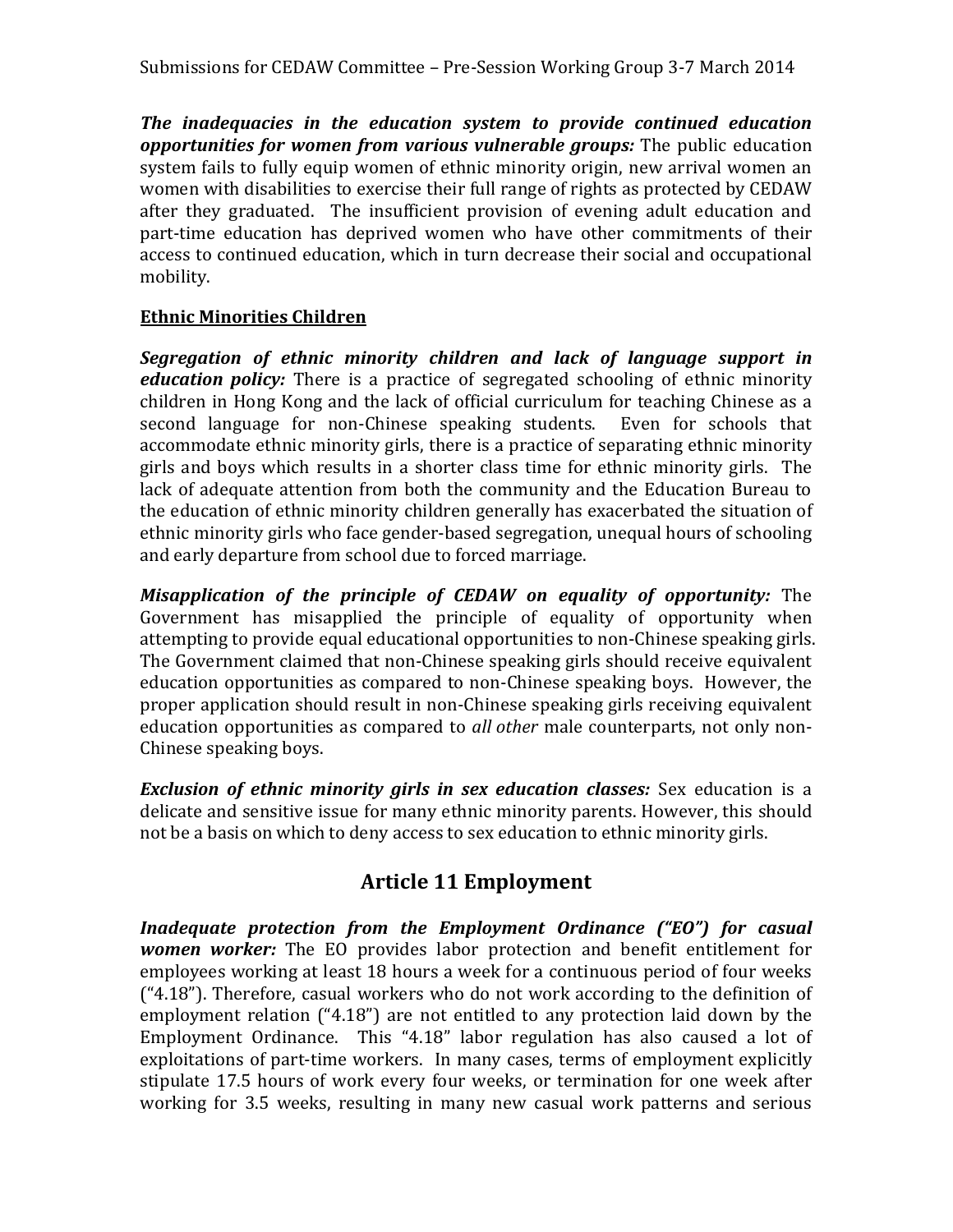Submissions for CEDAW Committee – Pre-Session Working Group 3-7 March 2014

*The inadequacies in the education system to provide continued education opportunities for women from various vulnerable groups:* The public education system fails to fully equip women of ethnic minority origin, new arrival women an women with disabilities to exercise their full range of rights as protected by CEDAW after they graduated. The insufficient provision of evening adult education and part-time education has deprived women who have other commitments of their access to continued education, which in turn decrease their social and occupational mobility.

#### **Ethnic Minorities Children**

*Segregation of ethnic minority children and lack of language support in education policy:* There is a practice of segregated schooling of ethnic minority children in Hong Kong and the lack of official curriculum for teaching Chinese as a second language for non-Chinese speaking students. Even for schools that accommodate ethnic minority girls, there is a practice of separating ethnic minority girls and boys which results in a shorter class time for ethnic minority girls. The lack of adequate attention from both the community and the Education Bureau to the education of ethnic minority children generally has exacerbated the situation of ethnic minority girls who face gender-based segregation, unequal hours of schooling and early departure from school due to forced marriage.

*Misapplication of the principle of CEDAW on equality of opportunity:* The Government has misapplied the principle of equality of opportunity when attempting to provide equal educational opportunities to non-Chinese speaking girls. The Government claimed that non-Chinese speaking girls should receive equivalent education opportunities as compared to non-Chinese speaking boys. However, the proper application should result in non-Chinese speaking girls receiving equivalent education opportunities as compared to *all other* male counterparts, not only non-Chinese speaking boys.

*Exclusion of ethnic minority girls in sex education classes:* Sex education is a delicate and sensitive issue for many ethnic minority parents. However, this should not be a basis on which to deny access to sex education to ethnic minority girls.

### **Article 11 Employment**

*Inadequate protection from the Employment Ordinance ("EO") for casual women worker:* The EO provides labor protection and benefit entitlement for employees working at least 18 hours a week for a continuous period of four weeks  $("4.18")$ . Therefore, casual workers who do not work according to the definition of employment relation ("4.18") are not entitled to any protection laid down by the Employment Ordinance. This "4.18" labor regulation has also caused a lot of exploitations of part-time workers. In many cases, terms of employment explicitly stipulate 17.5 hours of work every four weeks, or termination for one week after working for 3.5 weeks, resulting in many new casual work patterns and serious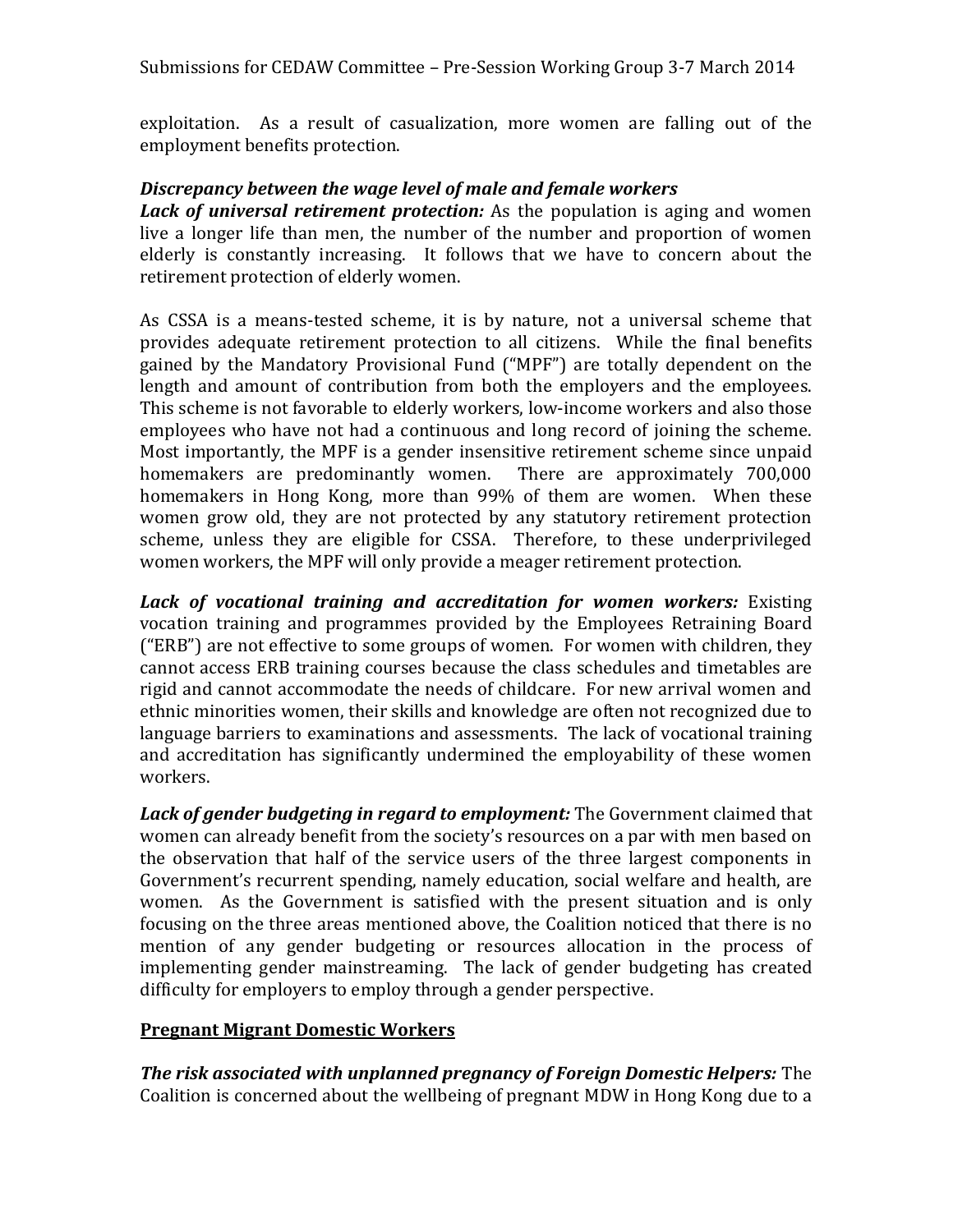exploitation. As a result of casualization, more women are falling out of the employment benefits protection.

#### *Discrepancy between the wage level of male and female workers*

*Lack of universal retirement protection:* As the population is aging and women live a longer life than men, the number of the number and proportion of women elderly is constantly increasing. It follows that we have to concern about the retirement protection of elderly women.

As CSSA is a means-tested scheme, it is by nature, not a universal scheme that provides adequate retirement protection to all citizens. While the final benefits gained by the Mandatory Provisional Fund ("MPF") are totally dependent on the length and amount of contribution from both the employers and the employees. This scheme is not favorable to elderly workers, low-income workers and also those employees who have not had a continuous and long record of joining the scheme. Most importantly, the MPF is a gender insensitive retirement scheme since unpaid homemakers are predominantly women. There are approximately 700,000 homemakers in Hong Kong, more than 99% of them are women. When these women grow old, they are not protected by any statutory retirement protection scheme, unless they are eligible for CSSA. Therefore, to these underprivileged women workers, the MPF will only provide a meager retirement protection.

*Lack of vocational training and accreditation for women workers:* Existing vocation training and programmes provided by the Employees Retraining Board ("ERB") are not effective to some groups of women. For women with children, they cannot access ERB training courses because the class schedules and timetables are rigid and cannot accommodate the needs of childcare. For new arrival women and ethnic minorities women, their skills and knowledge are often not recognized due to language barriers to examinations and assessments. The lack of vocational training and accreditation has significantly undermined the employability of these women workers.

*Lack of gender budgeting in regard to employment:* The Government claimed that women can already benefit from the society's resources on a par with men based on the observation that half of the service users of the three largest components in Government's recurrent spending, namely education, social welfare and health, are women. As the Government is satisfied with the present situation and is only focusing on the three areas mentioned above, the Coalition noticed that there is no mention of any gender budgeting or resources allocation in the process of implementing gender mainstreaming. The lack of gender budgeting has created difficulty for employers to employ through a gender perspective.

#### **Pregnant Migrant Domestic Workers**

*The risk associated with unplanned pregnancy of Foreign Domestic Helpers:* The Coalition is concerned about the wellbeing of pregnant MDW in Hong Kong due to a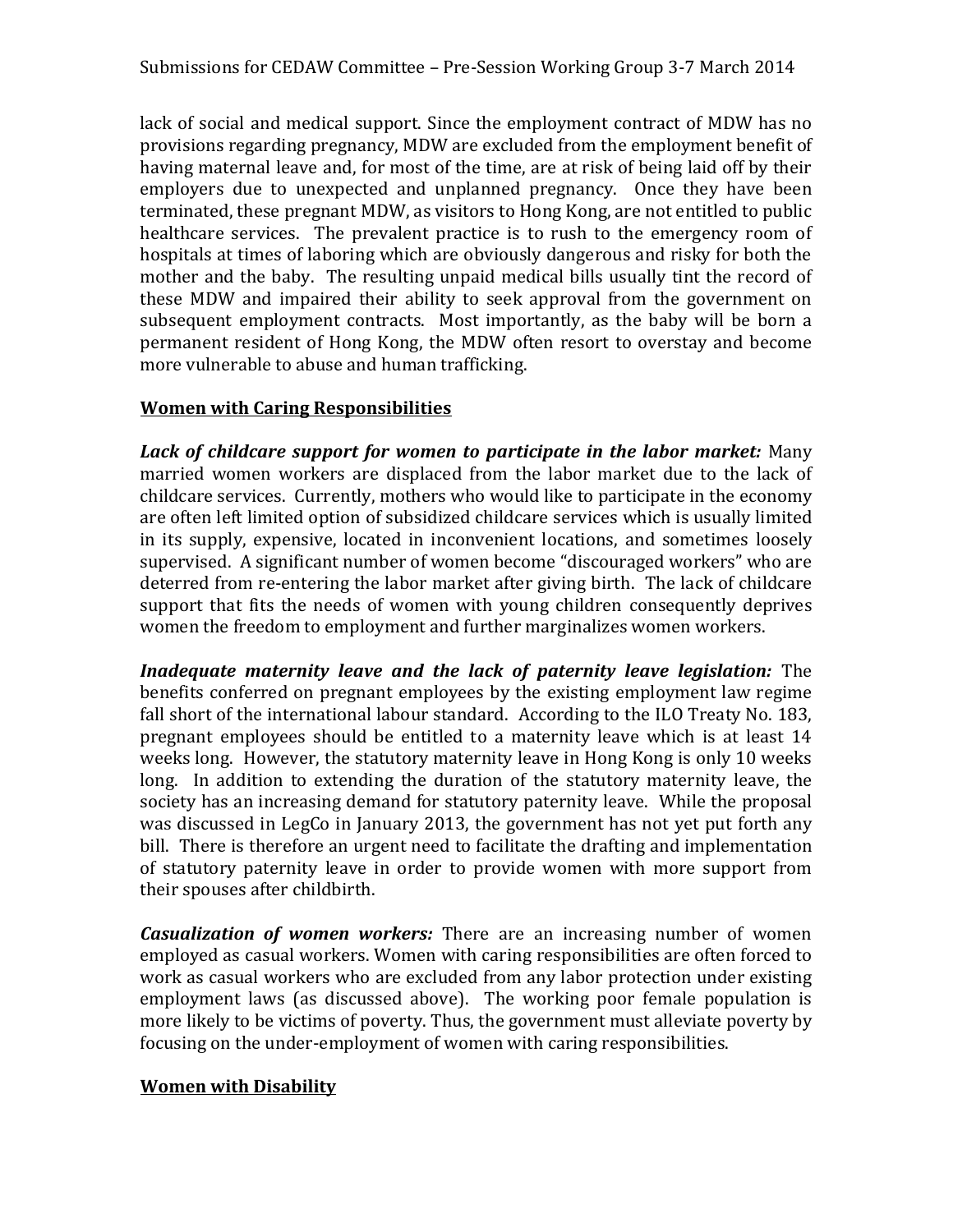lack of social and medical support. Since the employment contract of MDW has no provisions regarding pregnancy, MDW are excluded from the employment benefit of having maternal leave and, for most of the time, are at risk of being laid off by their employers due to unexpected and unplanned pregnancy. Once they have been terminated, these pregnant MDW, as visitors to Hong Kong, are not entitled to public healthcare services. The prevalent practice is to rush to the emergency room of hospitals at times of laboring which are obviously dangerous and risky for both the mother and the baby. The resulting unpaid medical bills usually tint the record of these MDW and impaired their ability to seek approval from the government on subsequent employment contracts. Most importantly, as the baby will be born a permanent resident of Hong Kong, the MDW often resort to overstay and become more vulnerable to abuse and human trafficking.

#### **Women with Caring Responsibilities**

*Lack of childcare support for women to participate in the labor market:* Many married women workers are displaced from the labor market due to the lack of childcare services. Currently, mothers who would like to participate in the economy are often left limited option of subsidized childcare services which is usually limited in its supply, expensive, located in inconvenient locations, and sometimes loosely supervised. A significant number of women become "discouraged workers" who are deterred from re-entering the labor market after giving birth. The lack of childcare support that fits the needs of women with young children consequently deprives women the freedom to employment and further marginalizes women workers.

*Inadequate maternity leave and the lack of paternity leave legislation:* The benefits conferred on pregnant employees by the existing employment law regime fall short of the international labour standard. According to the ILO Treaty No. 183, pregnant employees should be entitled to a maternity leave which is at least 14 weeks long. However, the statutory maternity leave in Hong Kong is only 10 weeks long. In addition to extending the duration of the statutory maternity leave, the society has an increasing demand for statutory paternity leave. While the proposal was discussed in LegCo in January 2013, the government has not yet put forth any bill. There is therefore an urgent need to facilitate the drafting and implementation of statutory paternity leave in order to provide women with more support from their spouses after childbirth.

*Casualization of women workers:* There are an increasing number of women employed as casual workers. Women with caring responsibilities are often forced to work as casual workers who are excluded from any labor protection under existing employment laws (as discussed above). The working poor female population is more likely to be victims of poverty. Thus, the government must alleviate poverty by focusing on the under-employment of women with caring responsibilities.

#### **Women with Disability**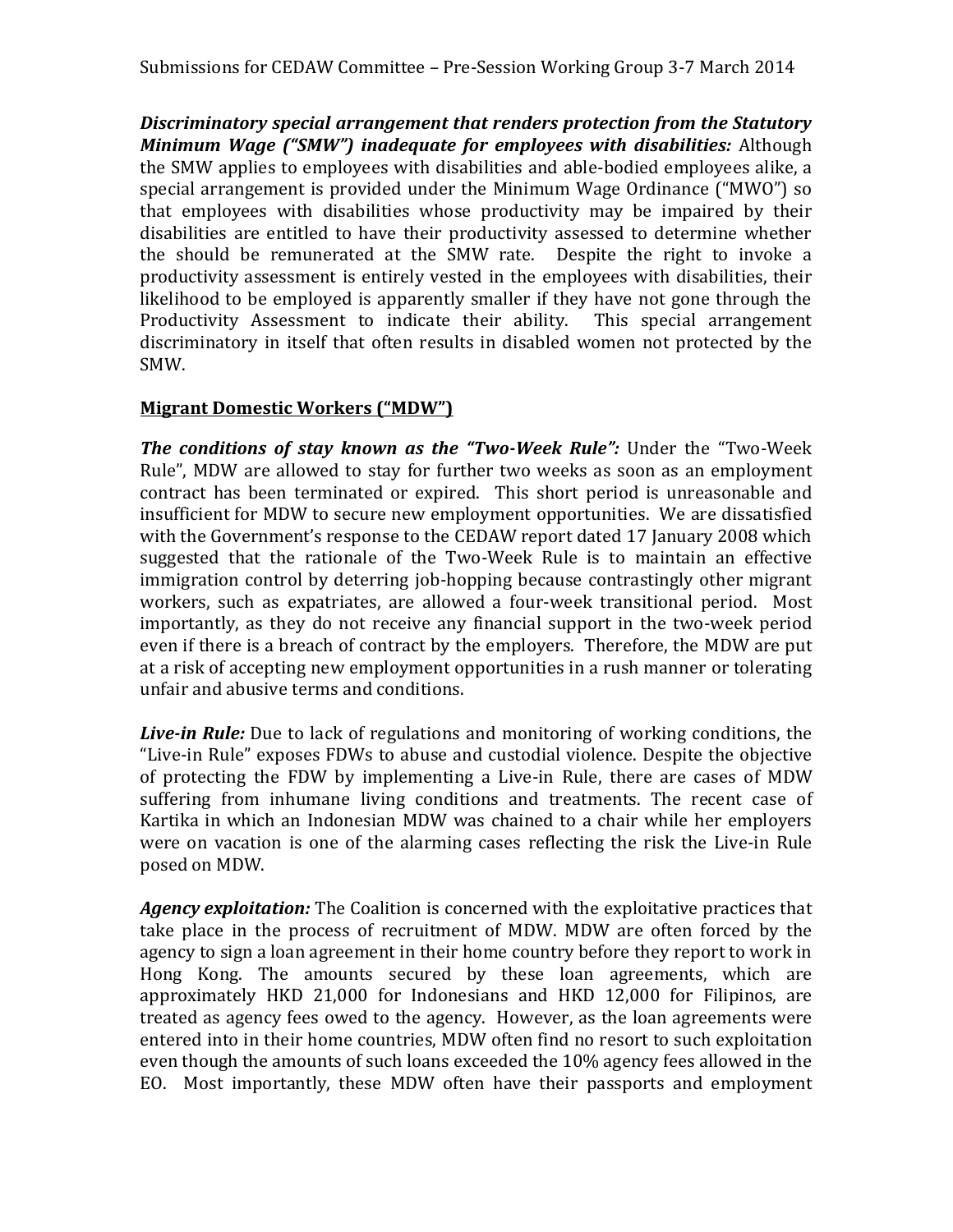*Discriminatory special arrangement that renders protection from the Statutory Minimum Wage ("SMW") inadequate for employees with disabilities:* Although the SMW applies to employees with disabilities and able-bodied employees alike, a special arrangement is provided under the Minimum Wage Ordinance ("MWO") so that employees with disabilities whose productivity may be impaired by their disabilities are entitled to have their productivity assessed to determine whether the should be remunerated at the SMW rate. Despite the right to invoke a productivity assessment is entirely vested in the employees with disabilities, their likelihood to be employed is apparently smaller if they have not gone through the Productivity Assessment to indicate their ability. This special arrangement discriminatory in itself that often results in disabled women not protected by the SMW.

#### **Migrant Domestic Workers ("MDW")**

*The conditions of stay known as the "Two-Week Rule":* Under the "Two-Week Rule", MDW are allowed to stay for further two weeks as soon as an employment contract has been terminated or expired. This short period is unreasonable and insufficient for MDW to secure new employment opportunities. We are dissatisfied with the Government's response to the CEDAW report dated 17 January 2008 which suggested that the rationale of the Two-Week Rule is to maintain an effective immigration control by deterring job-hopping because contrastingly other migrant workers, such as expatriates, are allowed a four-week transitional period. Most importantly, as they do not receive any financial support in the two-week period even if there is a breach of contract by the employers. Therefore, the MDW are put at a risk of accepting new employment opportunities in a rush manner or tolerating unfair and abusive terms and conditions.

*Live-in Rule:* Due to lack of regulations and monitoring of working conditions, the "Live-in Rule" exposes FDWs to abuse and custodial violence. Despite the objective of protecting the FDW by implementing a Live-in Rule, there are cases of MDW suffering from inhumane living conditions and treatments. The recent case of Kartika in which an Indonesian MDW was chained to a chair while her employers were on vacation is one of the alarming cases reflecting the risk the Live-in Rule posed on MDW.

*Agency exploitation:* The Coalition is concerned with the exploitative practices that take place in the process of recruitment of MDW. MDW are often forced by the agency to sign a loan agreement in their home country before they report to work in Hong Kong. The amounts secured by these loan agreements, which are approximately HKD 21,000 for Indonesians and HKD 12,000 for Filipinos, are treated as agency fees owed to the agency. However, as the loan agreements were entered into in their home countries, MDW often find no resort to such exploitation even though the amounts of such loans exceeded the 10% agency fees allowed in the EO. Most importantly, these MDW often have their passports and employment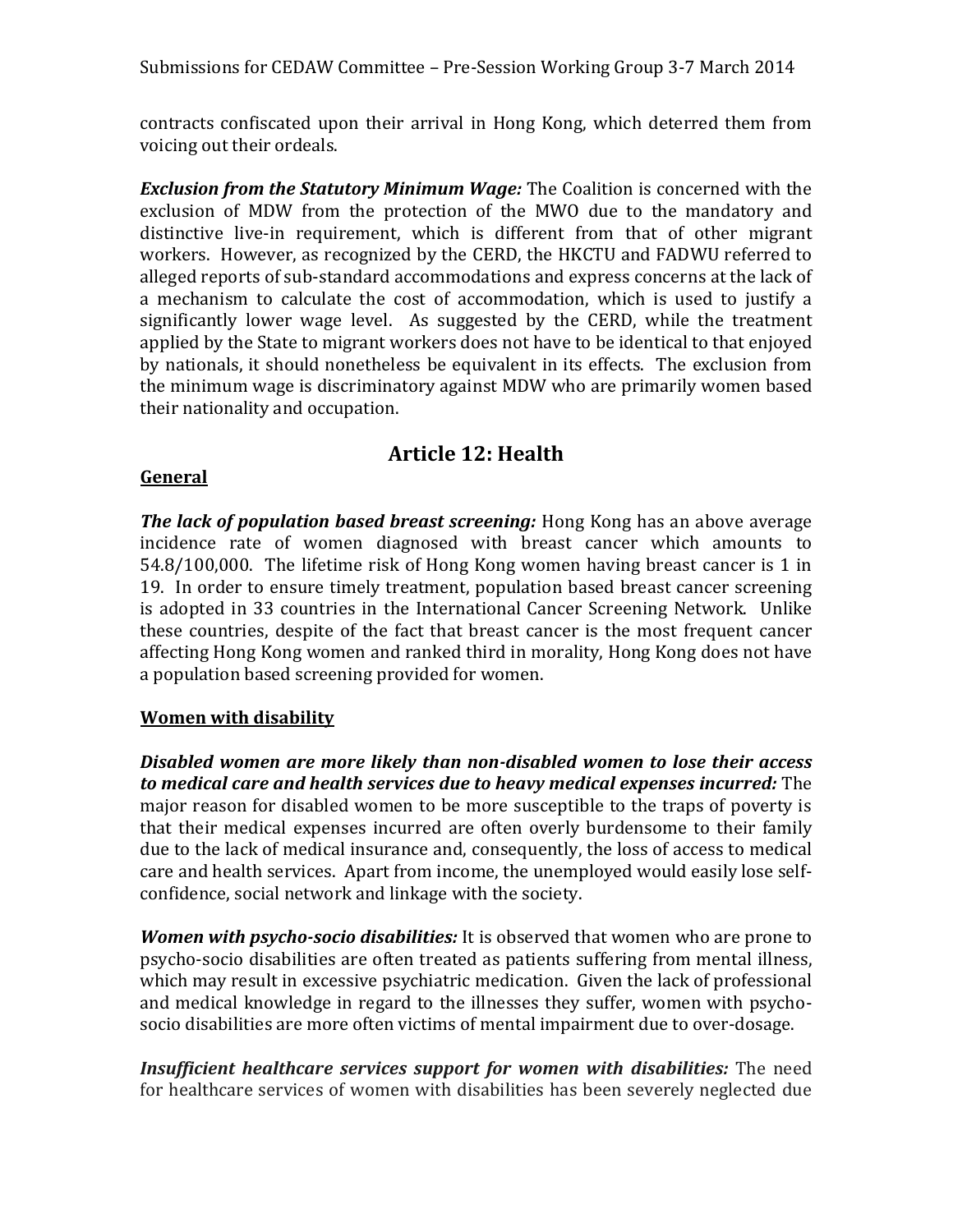Submissions for CEDAW Committee – Pre-Session Working Group 3-7 March 2014

contracts confiscated upon their arrival in Hong Kong, which deterred them from voicing out their ordeals.

*Exclusion from the Statutory Minimum Wage:* The Coalition is concerned with the exclusion of MDW from the protection of the MWO due to the mandatory and distinctive live-in requirement, which is different from that of other migrant workers. However, as recognized by the CERD, the HKCTU and FADWU referred to alleged reports of sub-standard accommodations and express concerns at the lack of a mechanism to calculate the cost of accommodation, which is used to justify a significantly lower wage level. As suggested by the CERD, while the treatment applied by the State to migrant workers does not have to be identical to that enjoyed by nationals, it should nonetheless be equivalent in its effects. The exclusion from the minimum wage is discriminatory against MDW who are primarily women based their nationality and occupation.

## **Article 12: Health**

#### **General**

*The lack of population based breast screening:* Hong Kong has an above average incidence rate of women diagnosed with breast cancer which amounts to 54.8/100,000. The lifetime risk of Hong Kong women having breast cancer is 1 in 19. In order to ensure timely treatment, population based breast cancer screening is adopted in 33 countries in the International Cancer Screening Network. Unlike these countries, despite of the fact that breast cancer is the most frequent cancer affecting Hong Kong women and ranked third in morality, Hong Kong does not have a population based screening provided for women.

#### **Women with disability**

*Disabled women are more likely than non-disabled women to lose their access to medical care and health services due to heavy medical expenses incurred:* The major reason for disabled women to be more susceptible to the traps of poverty is that their medical expenses incurred are often overly burdensome to their family due to the lack of medical insurance and, consequently, the loss of access to medical care and health services. Apart from income, the unemployed would easily lose selfconfidence, social network and linkage with the society.

*Women with psycho-socio disabilities:* It is observed that women who are prone to psycho-socio disabilities are often treated as patients suffering from mental illness, which may result in excessive psychiatric medication. Given the lack of professional and medical knowledge in regard to the illnesses they suffer, women with psychosocio disabilities are more often victims of mental impairment due to over-dosage.

*Insufficient healthcare services support for women with disabilities:* The need for healthcare services of women with disabilities has been severely neglected due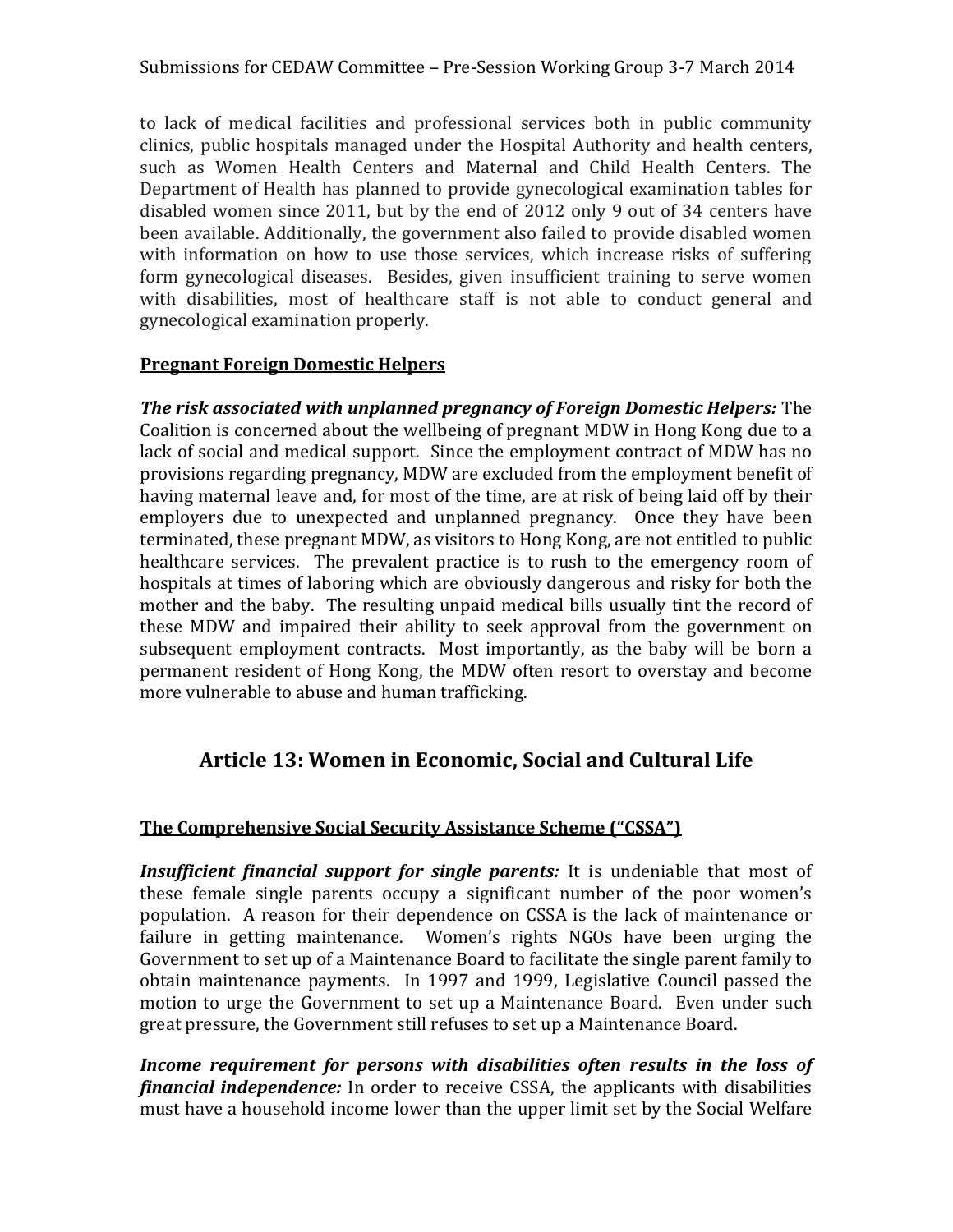to lack of medical facilities and professional services both in public community clinics, public hospitals managed under the Hospital Authority and health centers, such as Women Health Centers and Maternal and Child Health Centers. The Department of Health has planned to provide gynecological examination tables for disabled women since 2011, but by the end of 2012 only 9 out of 34 centers have been available. Additionally, the government also failed to provide disabled women with information on how to use those services, which increase risks of suffering form gynecological diseases. Besides, given insufficient training to serve women with disabilities, most of healthcare staff is not able to conduct general and gynecological examination properly.

#### **Pregnant Foreign Domestic Helpers**

*The risk associated with unplanned pregnancy of Foreign Domestic Helpers:* The Coalition is concerned about the wellbeing of pregnant MDW in Hong Kong due to a lack of social and medical support. Since the employment contract of MDW has no provisions regarding pregnancy, MDW are excluded from the employment benefit of having maternal leave and, for most of the time, are at risk of being laid off by their employers due to unexpected and unplanned pregnancy. Once they have been terminated, these pregnant MDW, as visitors to Hong Kong, are not entitled to public healthcare services. The prevalent practice is to rush to the emergency room of hospitals at times of laboring which are obviously dangerous and risky for both the mother and the baby. The resulting unpaid medical bills usually tint the record of these MDW and impaired their ability to seek approval from the government on subsequent employment contracts. Most importantly, as the baby will be born a permanent resident of Hong Kong, the MDW often resort to overstay and become more vulnerable to abuse and human trafficking.

## **Article 13: Women in Economic, Social and Cultural Life**

#### **The Comprehensive Social Security Assistance Scheme ("CSSA")**

*Insufficient financial support for single parents:* It is undeniable that most of these female single parents occupy a significant number of the poor women's population. A reason for their dependence on CSSA is the lack of maintenance or failure in getting maintenance. Women's rights NGOs have been urging the Government to set up of a Maintenance Board to facilitate the single parent family to obtain maintenance payments. In 1997 and 1999, Legislative Council passed the motion to urge the Government to set up a Maintenance Board. Even under such great pressure, the Government still refuses to set up a Maintenance Board.

*Income requirement for persons with disabilities often results in the loss of financial independence:* In order to receive CSSA, the applicants with disabilities must have a household income lower than the upper limit set by the Social Welfare